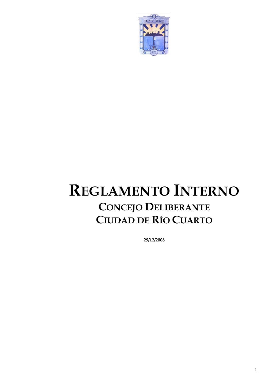

# **REGLAMENTO INTERNO CONCEJO DELIBERANTE CIUDAD DE RÍO CUARTO**

**29/12/2008**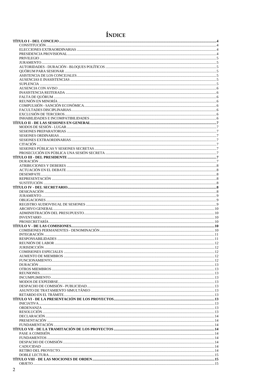## ÍNDICE

| $INVENTARIO\dots 10$ |  |
|----------------------|--|
|                      |  |
|                      |  |
|                      |  |
|                      |  |
|                      |  |
|                      |  |
|                      |  |
|                      |  |
|                      |  |
|                      |  |
|                      |  |
|                      |  |
|                      |  |
|                      |  |
|                      |  |
|                      |  |
|                      |  |
|                      |  |
|                      |  |
|                      |  |
|                      |  |
|                      |  |
|                      |  |
|                      |  |
|                      |  |
|                      |  |
|                      |  |
|                      |  |
|                      |  |
|                      |  |
|                      |  |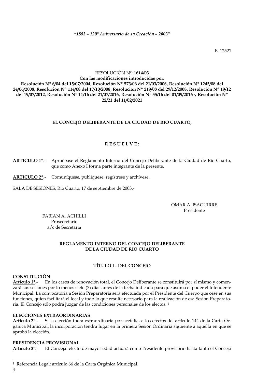*"1883 – 120° Aniversario de su Creación – 2003"*

E. 12521

### RESOLUCIÓN Nº: **1614/03**

**Con las modificaciones introducidas por: Resolución Nº 6/04 del 15/07/2004, Resolución Nº 573/06 del 21/03/2006, Resolución Nº 1245/08 del 24/06/2008, Resolución Nº 114/08 del 17/10/2008, Resolución Nº 219/08 del 29/12/2008, Resolución Nº 19/12 del 19/07/2012, Resolución Nº 11/16 del 21/07/2016, Resolución Nº 55/16 del 01/09/2016 y Resolución Nº 22/21 del 11/02/2021**

#### **EL CONCEJO DELIBERANTE DE LA CIUDAD DE RIO CUARTO,**

#### **R E S U E L V E :**

**ARTICULO 1º**.- Apruébase el Reglamento Interno del Concejo Deliberante de la Ciudad de Río Cuarto, que como Anexo I forma parte integrante de la presente.

**ARTICULO 2º**.- Comuníquese, publíquese, regístrese y archívese.

SALA DE SESIONES, Río Cuarto, 17 de septiembre de 2003.-

OMAR A. ISAGUIRRE Presidente

FABIAN A. ACHILLI Prosecretario a/c de Secretaría

#### **REGLAMENTO INTERNO DEL CONCEJO DELIBERANTE DE LA CIUDAD DE RÍO CUARTO**

#### **TÍTULO I - DEL CONCEJO**

#### <span id="page-3-1"></span><span id="page-3-0"></span>**CONSTITUCIÓN**

**Artículo 1°**.- En los casos de renovación total, el Concejo Deliberante se constituirá por sí mismo y comenzará sus sesiones por lo menos siete (7) días antes de la fecha indicada para que asuma el poder el Intendente Municipal. La convocatoria a Sesión Preparatoria será efectuada por el Presidente del Cuerpo que cese en sus funciones, quien facilitará el local y todo lo que resulte necesario para la realización de esa Sesión Preparatoria. El Concejo sólo podrá juzgar de las condiciones personales de los electos. <sup>1</sup>

#### <span id="page-3-2"></span>**ELECCIONES EXTRAORDINARIAS**

**Artículo 2°**.- Si la elección fuera extraordinaria por acefalía, a los efectos del artículo 144 de la Carta Orgánica Municipal, la incorporación tendrá lugar en la primera Sesión Ordinaria siguiente a aquella en que se aprobó la elección.

#### <span id="page-3-3"></span>**PRESIDENCIA PROVISIONAL**

**Artículo 3°**.- El Concejal electo de mayor edad actuará como Presidente provisorio hasta tanto el Concejo

4

-

<sup>1</sup> Referencia Legal: artículo 66 de la Carta Orgánica Municipal.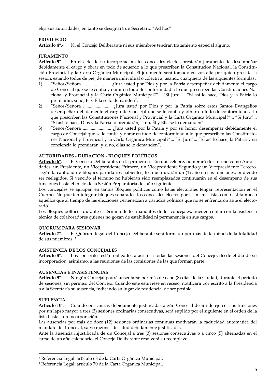elija sus autoridades, en tanto se designará un Secretario "Ad hoc".

#### <span id="page-4-0"></span>**PRIVILEGIO**

**Artículo 4°**.- Ni el Concejo Deliberante ni sus miembros tendrán tratamiento especial alguno.

#### <span id="page-4-1"></span>**JURAMENTO**

**Artículo 5°**.- En el acto de su incorporación, los concejales electos prestarán juramento de desempeñar debidamente el cargo y obrar en todo de acuerdo a lo que prescriben la Constitución Nacional, la Constitución Provincial y la Carta Orgánica Municipal. El juramento será tomado en voz alta por quien presida la sesión, estando todos de pie, de manera individual o colectiva, usando cualquiera de las siguientes fórmulas:

- 1) "Señor/Señora ......................... ¿Jura usted por Dios y por la Patria desempeñar debidamente el cargo de Concejal que se le confía y obrar en todo de conformidad a lo que prescriben las Constituciones Nacional y Provincial y la Carta Orgánica Municipal?"... "Si Juro"... "Si así lo hace, Dios y la Patria lo premiarán, si no, Él y Ella se lo demanden".
- 2) "Señor/Señora ......................... ¿Jura usted por Dios y por la Patria sobre estos Santos Evangelios desempeñar debidamente el cargo de Concejal que se le confía y obrar en todo de conformidad a lo que prescriben las Constituciones Nacional y Provincial y la Carta Orgánica Municipal?"... "Si Juro"... "Si así lo hace, Dios y la Patria lo premiarán, si no, Él y Ella se lo demanden".
- 3) "Señor/Señora ......................... ¿Jura usted por la Patria y por su honor desempeñar debidamente el cargo de Concejal que se le confía y obrar en todo de conformidad a lo que prescriben las Constituciones Nacional y Provincial y la Carta Orgánica Municipal?"... "Si Juro"... "Si así lo hace, la Patria y su conciencia lo premiarán, y si no, ellas se lo demanden".

#### <span id="page-4-2"></span>**AUTORIDADES - DURACIÓN - BLOQUES POLÍTICOS**

**Artículo 6°**.- El Concejo Deliberante, en la primera sesión que celebre, nombrará de su seno como Autoridades: un Presidente, un Vicepresidente Primero, un Vicepresidente Segundo y un Vicepresidente Tercero, según la cantidad de bloques partidarios habientes, los que durarán un (1) año en sus funciones, pudiendo ser reelegidos. Si vencido el término no hubieran sido reemplazados continuarán en el desempeño de sus funciones hasta el inicio de la Sesión Preparatoria del año siguiente.

Los concejales se agrupan en tantos Bloques políticos como listas electorales tengan representación en el Cuerpo. No pueden integrar bloques separados los concejales electos por la misma lista, como así tampoco aquellos que al tiempo de las elecciones pertenezcan a partidos políticos que no se enfrentaron ante el electorado.

Los Bloques políticos durante el término de los mandatos de los concejales, pueden contar con la asistencia técnica de colaboradores quienes no gozan de estabilidad ni permanencia en sus cargos.

#### <span id="page-4-3"></span>**QUÓRUM PARA SESIONAR**

**Artículo 7°**.- El Quórum legal del Concejo Deliberante será formado por más de la mitad de la totalidad de sus miembros. <sup>2</sup>

#### <span id="page-4-4"></span>**ASISTENCIA DE LOS CONCEJALES**

**Artículo 8°**.- Los concejales están obligados a asistir a todas las sesiones del Concejo, desde el día de su incorporación; asimismo, a las reuniones de las comisiones de las que forman parte.

#### <span id="page-4-5"></span>**AUSENCIAS E INASISTENCIAS**

**Artículo 9°**.- Ningún Concejal podrá ausentarse por más de ocho (8) días de la Ciudad, durante el período de sesiones, sin permiso del Concejo. Cuando éste estuviese en receso, notificará por escrito a la Presidencia o a la Secretaría su ausencia, indicando su lugar de residencia, de ser posible.

#### <span id="page-4-6"></span>**SUPLENCIA**

-

**Artículo 10°**.- Cuando por causas debidamente justificadas algún Concejal dejara de ejercer sus funciones por un lapso mayor a tres (3) sesiones ordinarias consecutivas, será suplido por el siguiente en el orden de la lista hasta su reincorporación.

Las ausencias por más de doce (12) sesiones ordinarias continuas motivarán la caducidad automática del mandato del Concejal, salvo razones de salud debidamente justificadas.

Ante la ausencia injustificada de un Concejal a tres (3) sesiones consecutivas o a cinco (5) alternadas en el curso de un año calendario, el Concejo Deliberante resolverá su reemplazo. <sup>3</sup>

<sup>2</sup> Referencia Legal: artículo 68 de la Carta Orgánica Municipal.

<sup>3</sup> Referencia Legal: artículo 70 de la Carta Orgánica Municipal.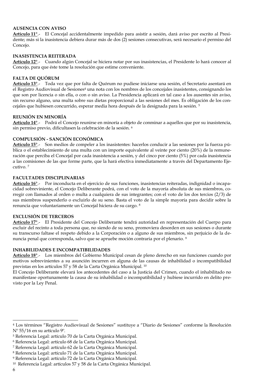#### <span id="page-5-0"></span>**AUSENCIA CON AVISO**

**Artículo 11°**.- El Concejal accidentalmente impedido para asistir a sesión, dará aviso por escrito al Presidente; más si la inasistencia debiera durar más de dos (2) sesiones consecutivas, será necesario el permiso del Concejo.

#### <span id="page-5-1"></span>**INASISTENCIA REITERADA**

**Artículo 12°**.- Cuando algún Concejal se hiciera notar por sus inasistencias, el Presidente lo hará conocer al Concejo, para que éste tome la resolución que estime conveniente.

#### <span id="page-5-2"></span>**FALTA DE QUÓRUM**

**Artículo 13°**.- Toda vez que por falta de Quórum no pudiese iniciarse una sesión, el Secretario asentará en el Registro Audiovisual de Sesiones<sup>4</sup> una nota con los nombres de los concejales inasistentes, consignando los que son por licencia o sin ella, o con o sin aviso. La Presidencia aplicará en tal caso a los ausentes sin aviso, sin recurso alguno, una multa sobre sus dietas proporcional a las sesiones del mes. Es obligación de los concejales que hubiesen concurrido, esperar media hora después de la designada para la sesión. <sup>5</sup>

#### <span id="page-5-3"></span>**REUNIÓN EN MINORÍA**

**Artículo 14°**.- Podrá el Concejo reunirse en minoría a objeto de conminar a aquellos que por su inasistencia, sin permiso previo, dificultasen la celebración de la sesión. <sup>6</sup>

#### <span id="page-5-4"></span>**COMPULSIÓN - SANCIÓN ECONÓMICA**

**Artículo 15°**.- Son medios de compeler a los inasistentes: hacerlos conducir a las sesiones por la fuerza pública o el establecimiento de una multa con un importe equivalente al veinte por ciento (20%) de la remuneración que perciba el Concejal por cada inasistencia a sesión, y del cinco por ciento (5%) por cada inasistencia a las comisiones de las que forme parte, que la hará efectiva inmediatamente a través del Departamento Ejecutivo. <sup>7</sup>

#### <span id="page-5-5"></span>**FACULTADES DISCIPLINARIAS**

**Artículo 16°**.- Por inconducta en el ejercicio de sus funciones, inasistencias reiteradas, indignidad o incapacidad sobreviniente, el Concejo Deliberante podrá, con el voto de la mayoría absoluta de sus miembros, corregir con llamados al orden o multa a cualquiera de sus integrantes; con el voto de los dos tercios (2/3) de sus miembros suspenderlo o excluirlo de su seno. Basta el voto de la simple mayoría para decidir sobre la renuncia que voluntariamente un Concejal hiciera de su cargo. <sup>8</sup>

#### <span id="page-5-6"></span>**EXCLUSIÓN DE TERCEROS**

**Artículo 17°**.- El Presidente del Concejo Deliberante tendrá autoridad en representación del Cuerpo para excluir del recinto a toda persona que, no siendo de su seno, promoviera desorden en sus sesiones o durante su transcurso faltase el respeto debido a la Corporación o a alguno de sus miembros, sin perjuicio de la denuncia penal que corresponda, salvo que se apruebe moción contraria por el plenario. <sup>9</sup>

#### <span id="page-5-7"></span>**INHABILIDADES E INCOMPATIBILIDADES**

**Artículo 18°**.- Los miembros del Gobierno Municipal cesan de pleno derecho en sus funciones cuando por motivos sobrevinientes a su asunción incurren en alguna de las causas de inhabilidad o incompatibilidad previstas en los artículos 57 y 58 de la Carta Orgánica Municipal. <sup>10</sup>

El Concejo Deliberante elevará los antecedentes del caso a la Justicia del Crimen, cuando el inhabilitado no manifestase oportunamente la causa de su inhabilidad o incompatibilidad y hubiese incurrido en delito previsto por la Ley Penal.

-

<sup>4</sup> Los términos "Registro Audiovisual de Sesiones" sustituye a "Diario de Sesiones" conforme la Resolución Nº 55/16 en su artículo 9º.

<sup>5</sup> Referencia Legal: artículo 70 de la Carta Orgánica Municipal.

<sup>6</sup> Referencia Legal: artículo 68 de la Carta Orgánica Municipal.

<sup>7</sup> Referencia Legal: artículo 62 de la Carta Orgánica Municipal.

<sup>8</sup> Referencia Legal: artículo 71 de la Carta Orgánica Municipal.

<sup>9</sup> Referencia Legal: artículo 72 de la Carta Orgánica Municipal.

<sup>10</sup> Referencia Legal: artículos 57 y 58 de la Carta Orgánica Municipal.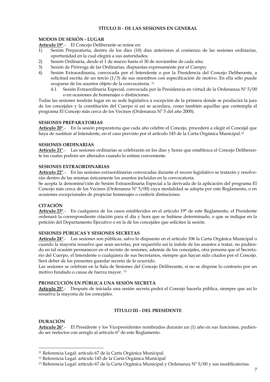#### **TÍTULO II - DE LAS SESIONES EN GENERAL**

#### <span id="page-6-1"></span><span id="page-6-0"></span>**MODOS DE SESIÓN - LUGAR**

**Artículo 19°**.- El Concejo Deliberante se reúne en:

- 1) Sesión Preparatoria, dentro de los diez (10) días anteriores al comienzo de las sesiones ordinarias, oportunidad en la cual elegirá a sus autoridades;
- 2) Sesión Ordinaria, desde el 1 de marzo hasta el 30 de noviembre de cada año;
- 3) Sesión de Prórroga de las Ordinarias, dispuestas expresamente por el Cuerpo;
- 4) Sesión Extraordinaria, convocada por el Intendente o por la Presidencia del Concejo Deliberante, a solicitud escrita de un tercio (1/3) de sus miembros con especificación de motivo. En ella sólo puede ocuparse de los asuntos objeto de la convocatoria. <sup>11</sup>
	- 4.1. Sesión Extraordinaria Especial, convocada por la Presidencia en virtud de la Ordenanza Nº 5/00 o en ocasiones de homenajes o distinciones.

Todas las sesiones tendrán lugar en su sede legislativa a excepción de la primera donde se producirá la jura de los concejales y la constitución del Cuerpo si así se acordara, como también aquellas que contempla el programa El Concejo más cerca de los Vecinos (Ordenanza Nº 5 del año 2000).

#### <span id="page-6-2"></span>**SESIONES PREPARATORIAS**

**Artículo 20°**.- En la sesión preparatoria que cada año celebre el Concejo, procederá a elegir el Concejal que haya de sustituir al Intendente, en el caso previsto por el artículo 145 de la Carta Orgánica Municipal.<sup>12</sup>

#### <span id="page-6-3"></span>**SESIONES ORDINARIAS**

**Artículo 21°**.- Las sesiones ordinarias se celebrarán en los días y horas que establezca el Concejo Deliberante los cuales podrán ser alterados cuando lo estime conveniente.

#### <span id="page-6-4"></span>**SESIONES EXTRAORDINARIAS**

**Artículo 22°**.- En las sesiones extraordinarias convocadas durante el receso legislativo se tratarán y resolverán dentro de las mismas únicamente los asuntos incluidos en la convocatoria.

Se acepta la denominaºción de Sesión Extraordinaria Especial a la derivada de la aplicación del programa El Concejo más cerca de los Vecinos (Ordenanza Nº 5/00) cuya modalidad se adopta por este Reglamento, o en ocasiones excepcionales de propiciar homenajes o conferir distinciones.

#### <span id="page-6-5"></span>**CITACIÓN**

**Artículo 23°**.- En cualquiera de los casos establecidos en el artículo 19° de este Reglamento, el Presidente ordenará la correspondiente citación para el día y hora que se hubiese determinado, o que se indique en la petición del Departamento Ejecutivo o en la de los concejales que soliciten la sesión.

#### <span id="page-6-6"></span>**SESIONES PÚBLICAS Y SESIONES SECRETAS**

**Artículo 24°**.- Las sesiones son públicas, salvo lo dispuesto en el artículo 106 la Carta Orgánica Municipal o cuando la mayoría resuelve que sean secretas, por requerirlo así la índole de los asuntos a tratar, no pudiendo en tal ocasión permanecer en el recinto de sesiones, además de los concejales, otra persona que el Secretario del Cuerpo, el Intendente o cualquiera de sus Secretarios, siempre que hayan sido citados por el Concejo. Será deber de los presentes guardar secreto de lo ocurrido.

Las sesiones se celebran en la Sala de Sesiones del Concejo Deliberante, si no se dispone lo contrario por un motivo fundado o causa de fuerza mayor. <sup>13</sup>

#### <span id="page-6-7"></span>**PROSECUCIÓN EN PÚBLICA UNA SESIÓN SECRETA**

<span id="page-6-8"></span>**Artículo 25°**.- Después de iniciada una sesión secreta podrá el Concejo hacerla pública, siempre que así lo resuelva la mayoría de los concejales.

#### **TÍTULO III - DEL PRESIDENTE**

#### <span id="page-6-9"></span>**DURACIÓN**

-

**Artículo 26°**.- El Presidente y los Vicepresidentes nombrados durarán un (1) año en sus funciones, pudiendo ser reelectos con arreglo al artículo 6° de este Reglamento.

<sup>11</sup> Referencia Legal: artículo 67 de la Carta Orgánica Municipal.

<sup>12</sup> Referencia Legal: artículo 145 de la Carta Orgánica Municipal

<sup>&</sup>lt;sup>13</sup> Referencia Legal: artículo 67 de la Carta Orgánica Municipal y Ordenanza Nº 5/00 y sus modificatorias.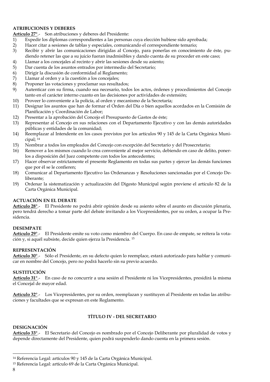#### <span id="page-7-0"></span>**ATRIBUCIONES Y DEBERES**

**Artículo 27°**.- Son atribuciones y deberes del Presidente:

- 1) Expedir los diplomas correspondientes a las personas cuya elección hubiese sido aprobada;
- 2) Hacer citar a sesiones de tablas y especiales, comunicando el correspondiente temario;<br>3) Recibir y abrir las comunicaciones dirigidas al Concejo, para ponerlas en conocimie
- Recibir y abrir las comunicaciones dirigidas al Concejo, para ponerlas en conocimiento de éste, pudiendo retener las que a su juicio fueran inadmisibles y dando cuenta de su proceder en este caso;
- 4) Llamar a los concejales al recinto y abrir las sesiones desde su asiento;<br>5) Dar cuenta de los asuntos entrados por intermedio del Secretario;
- Dar cuenta de los asuntos entrados por intermedio del Secretario;
- 6) Dirigir la discusión de conformidad al Reglamento;
- 7) Llamar al orden y a la cuestión a los concejales;
- Proponer las votaciones y proclamar sus resultados;
- 9) Autenticar con su firma, cuando sea necesario, todos los actos, órdenes y procedimientos del Concejo tanto en el carácter interno cuanto en las decisiones por actividades de extensión;
- 10) Proveer lo conveniente a la policía, al orden y mecanismo de la Secretaría;
- 11) Designar los asuntos que han de formar el Orden del Día o bien aquellos acordados en la Comisión de Planificación y Coordinación de Labor;
- 12) Presentar a la aprobación del Concejo el Presupuesto de Gastos de éste;
- 13) Representar al Concejo en sus relaciones con el Departamento Ejecutivo y con las demás autoridades públicas y entidades de la comunidad;
- 14) Reemplazar al Intendente en los casos previstos por los artículos 90 y 145 de la Carta Orgánica Municipal; <sup>14</sup>
- 15) Nombrar a todos los empleados del Concejo con excepción del Secretario y del Prosecretario;
- 16) Remover a los mismos cuando lo crea conveniente al mejor servicio, debiendo en caso de delito, ponerlos a disposición del Juez competente con todos los antecedentes;
- 17) Hacer observar estrictamente el presente Reglamento en todas sus partes y ejercer las demás funciones que por él se le confieren;
- 18) Comunicar al Departamento Ejecutivo las Ordenanzas y Resoluciones sancionadas por el Concejo Deliberante;
- 19) Ordenar la sistematización y actualización del Digesto Municipal según previene el artículo 82 de la Carta Orgánica Municipal.

#### <span id="page-7-1"></span>**ACTUACIÓN EN EL DEBATE**

**Artículo 28°**.- El Presidente no podrá abrir opinión desde su asiento sobre el asunto en discusión plenaria, pero tendrá derecho a tomar parte del debate invitando a los Vicepresidentes, por su orden, a ocupar la Presidencia.

#### <span id="page-7-2"></span>**DESEMPATE**

**Artículo 29°**.- El Presidente emite su voto como miembro del Cuerpo. En caso de empate, se reitera la votación y, si aquél subsiste, decide quien ejerza la Presidencia. <sup>15</sup>

#### <span id="page-7-3"></span>**REPRESENTACIÓN**

**Artículo 30°**.- Sólo el Presidente, en su defecto quien lo reemplace, estará autorizado para hablar y comunicar en nombre del Concejo, pero no podrá hacerlo sin su previo acuerdo.

#### <span id="page-7-4"></span>**SUSTITUCIÓN**

**Artículo 31°**.- En caso de no concurrir a una sesión el Presidente ni los Vicepresidentes, presidirá la misma el Concejal de mayor edad.

<span id="page-7-5"></span>**Artículo 32°**.- Los Vicepresidentes, por su orden, reemplazan y sustituyen al Presidente en todas las atribuciones y facultades que se expresan en este Reglamento.

#### **TÍTULO IV - DEL SECRETARIO**

#### <span id="page-7-6"></span>**DESIGNACIÓN**

**Artículo 33°**.- El Secretario del Concejo es nombrado por el Concejo Deliberante por pluralidad de votos y depende directamente del Presidente, quien podrá suspenderlo dando cuenta en la primera sesión.

j

<sup>14</sup> Referencia Legal: artículos 90 y 145 de la Carta Orgánica Municipal.

<sup>15</sup> Referencia Legal: artículo 69 de la Carta Orgánica Municipal.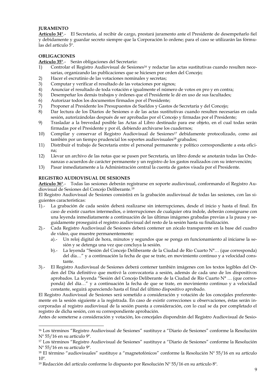#### <span id="page-8-0"></span>**JURAMENTO**

**Artículo 34°**.- El Secretario, al recibir de cargo, prestará juramento ante el Presidente de desempeñarlo fiel y debidamente y guardar secreto siempre que la Corporación lo ordene; para el caso se utilizarán las fórmulas del artículo 5º.

#### <span id="page-8-1"></span>**OBLIGACIONES**

-

**Artículo 35°**.- Serán obligaciones del Secretario:

- 1) Controlar el Registro Audiovisual de Sesiones<sup>16</sup> y redactar las actas sustitutivas cuando resulten necesarias, organizando las publicaciones que se hiciesen por orden del Concejo;
- 2) Hacer el escrutinio de las votaciones nominales y secretas;
- 3) Computar y verificar el resultado de las votaciones por signos;
- 4) Anunciar el resultado de toda votación e igualmente el número de votos en pro y en contra;
- 5) Desempeñar los demás trabajos y órdenes que el Presidente le dé en uso de sus facultades;
- 6) Autorizar todos los documentos firmados por el Presidente;
- 7) Proponer al Presidente los Presupuestos de Sueldos y Gastos de Secretaría y del Concejo;
- 8) Dar lectura de los Diarios de Sesiones o de las actas sustitutivas cuando resulten necesarias en cada sesión, autorizándolas después de ser aprobadas por el Concejo y firmadas por el Presidente;
- 9) Trasladar a la brevedad posible las Actas al Libro destinado para ese objeto, en el cual todas serán firmadas por el Presidente y por él, debiendo archivarse los cuadernos;
- 10) Compilar y conservar el Registro Audiovisual de Sesiones<sup>17</sup> debidamente protocolizado, como así también por un tiempo prudencial los soportes audiovisuales<sup>18</sup> grabados;
- 11) Distribuir el trabajo de Secretaría entre el personal permanente y político correspondiente a esta oficina;
- 12) Llevar un archivo de las notas que se pasen por Secretaría, un libro donde se anotarán todas las Ordenanzas o acuerdos de carácter permanente y un registro de los gastos realizados con su intervención;
- 13) Pasar inmediatamente a la Administración central la cuenta de gastos visada por el Presidente.

#### <span id="page-8-2"></span>**REGISTRO AUDIOVISUAL DE SESIONES**

**Artículo 36°**.- Todas las sesiones deberán registrarse en soporte audiovisual, conformando el Registro Audiovisual de Sesiones del Concejo Deliberante.<sup>19</sup>

El Registro Audiovisual de Sesiones consistirá en la grabación audiovisual de todas las sesiones, con las siguientes características:

- 1).- La grabación de cada sesión deberá realizarse sin interrupciones, desde el inicio y hasta el final. En caso de existir cuartos intermedios, o interrupciones de cualquier otra índole, deberán consignarse con una leyenda inmediatamente a continuación de las últimas imágenes grabadas previas a la pausa y seguidamente proseguirá el registro audiovisual del resto de la sesión hasta su finalización.
- 2).- Cada Registro Audiovisual de Sesiones deberá contener un zócalo transparente en la base del cuadro de video, que muestre permanentemente:
	- a).- Un reloj digital de hora, minutos y segundos que se ponga en funcionamiento al iniciarse la sesión y se detenga una vez que concluya la sesión.
	- b).- La leyenda "Sesión del Concejo Deliberante de la Ciudad de Río Cuarto N°… (que corresponda) del día…" y a continuación la fecha de que se trate, en movimiento continuo y a velocidad constante.
- 3).- El Registro Audiovisual de Sesiones deberá contener también imágenes con los textos legibles del Orden del Día definitivo que motivó la convocatoria a sesión, además de cada uno de los dispositivos aprobados. La leyenda "Sesión del Concejo Deliberante de la Ciudad de Río Cuarto N° … (que corresponda) del día…" y a continuación la fecha de que se trate, en movimiento continuo y a velocidad constante, seguirá apareciendo hasta el final del último dispositivo aprobado.

El Registro Audiovisual de Sesiones será sometido a consideración y votación de los concejales preferentemente en la sesión siguiente a la registrada. En caso de existir correcciones u observaciones, éstas serán incorporadas al registro audiovisual de la sesión puesta a consideración, con lo cual se da por completado el registro de dicha sesión, con su correspondiente aprobación.

Antes de someterse a consideración y votación, los concejales dispondrán del Registro Audiovisual de Sesio-

<sup>16</sup> Los términos "Registro Audiovisual de Sesiones" sustituye a "Diario de Sesiones" conforme la Resolución Nº 55/16 en su artículo 9º.

<sup>17</sup> Los términos "Registro Audiovisual de Sesiones" sustituye a "Diario de Sesiones" conforme la Resolución Nº 55/16 en su artículo 9º.

<sup>&</sup>lt;sup>18</sup> El término "audiovisuales" sustituye a "magnetofónicos" conforme la Resolución Nº 55/16 en su artículo 10º.

<sup>&</sup>lt;sup>19</sup> Redacción del artículo conforme lo dispuesto por Resolución  $N^{\circ}$  55/16 en su artículo 8<sup>o</sup>.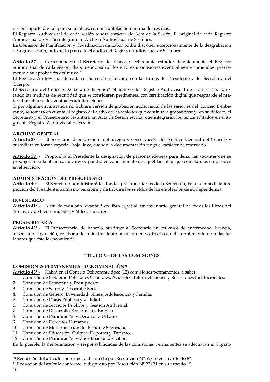nes en soporte digital, para su análisis, con una antelación mínima de tres días.

El Registro Audiovisual de cada sesión tendrá carácter de Acta de la Sesión. El original de cada Registro Audiovisual de Sesión integrará un Archivo Audiovisual de Sesiones.

La Comisión de Planificación y Coordinación de Labor podrá disponer excepcionalmente de la desgrabación de alguna sesión, utilizando para ello el audio del Registro Audiovisual de Sesiones.

**Artículo 37°**.- Corresponderá al Secretario del Concejo Deliberante estudiar detenidamente el Registro Audiovisual de cada sesión, disponiendo salvar los errores u omisiones eventualmente cometidos, previamente a su aprobación definitiva.<sup>20</sup>

El Registro Audiovisual de cada sesión será oficializado con las firmas del Presidente y del Secretario del Cuerpo.

El Secretario del Concejo Deliberante dispondrá el archivo del Registro Audiovisual de cada sesión, adoptando las medidas de seguridad que se consideren pertinentes, con certificación digital que resguarde el material resultante de eventuales adulteraciones.

Si por alguna circunstancia no hubiera versión de grabación audiovisual de las sesiones del Concejo Deliberante, se tomará en cuenta el registro del audio de las sesiones que continuará grabándose y, en su defecto, el Secretario y el Prosecretario levantará un Acta de Sesión escrita, que integrarán los textos editados en el siguiente Registro Audiovisual de Sesión.

#### <span id="page-9-0"></span>**ARCHIVO GENERAL**

**Artículo 38°**.- El Secretario deberá cuidar del arreglo y conservación del Archivo General del Concejo y custodiará en forma especial, bajo llave, cuando la documentación tenga el carácter de reservado.

**Artículo 39°**.- Propondrá al Presidente la designación de personas idóneas para llenar las vacantes que se produjeran en la oficina a su cargo y pondrá en conocimiento de aquél las faltas que cometan los empleados en el servicio.

#### <span id="page-9-1"></span>**ADMINISTRACIÓN DEL PRESUPUESTO**

**Artículo 40°**.- El Secretario administrará los fondos presupuestarios de la Secretaría, bajo la inmediata inspección del Presidente, asimismo percibirá y distribuirá los sueldos de los empleados de su dependencia.

#### <span id="page-9-2"></span>**INVENTARIO**

**Artículo 41°**.- A fin de cada año levantará en libro especial, un inventario general de todos los libros del Archivo y de bienes muebles y útiles a su cargo.

#### <span id="page-9-3"></span>**PROSECRETARÍA**

**Artículo 42°**.- El Prosecretario, de haberlo, sustituye al Secretario en los casos de enfermedad, licencia, ausencia o separación, colaborando -mientras tanto- a sus órdenes directas en el cumplimiento de todas las labores que éste le encomiende.

#### **TÍTULO V - DE LAS COMISIONES**

#### <span id="page-9-5"></span><span id="page-9-4"></span>**COMISIONES PERMANENTES - DENOMINACIÓN<sup>21</sup>**

**Artículo 43°.-** Habrá en el Concejo Deliberante doce (12) comisiones permanentes, a saber:

- 1. Comisión de Gobierno Peticiones Generales, Acuerdos, Interpretaciones y Rela-ciones Institucionales.
- 2. Comisión de Economía y Presupuesto.
- 3. Comisión de Salud y Desarrollo Social.
- 4. Comisión de Género, Diversidad, Niñez, Adolescencia y Familia.
- 5. Comisión de Obras Públicas y vialidad.
- 6. Comisión de Servicios Públicos y Gestión Ambiental.
- 7. Comisión de Desarrollo Económico y Empleo.
- 8. Comisión de Planificación y Desarrollo Urbano.
- 9. Comisión de Derechos Humanos.
- 10. Comisión de Modernización del Estado y Seguridad.
- 11. Comisión de Educación, Cultura, Deportes y Turismo.
- 12. Comisión de Planificación y Coordinación de Labor.

En lo posible, la denominación y responsabilidades de las comisiones permanentes se adecuarán al Organi-

10

j

<sup>&</sup>lt;sup>20</sup> Redacción del artículo conforme lo dispuesto por Resolución  $N^{\circ}$  55/16 en su artículo  $8^{\circ}$ .

<sup>&</sup>lt;sup>21</sup> Redacción del artículo conforme lo dispuesto por Resolución  $N^{\circ}$  22/21 en su artículo 1<sup>o</sup>.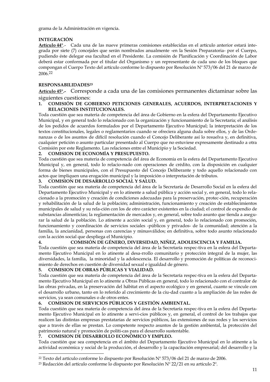grama de la Administración en vigencia.

#### <span id="page-10-0"></span>**INTEGRACIÓN**

**Artículo 44°**.- Cada una de las nueve primeras comisiones establecidas en el artículo anterior estará integrada por siete (7) concejales que serán nombrados anualmente -en la Sesión Preparatoria- por el Cuerpo, pudiendo éste delegar esa facultad en el Presidente. La comisión de Planificación y Coordinación de Labor deberá estar conformada por el titular del Organismo y un representante de cada uno de los bloques que compongan el Cuerpo Texto del artículo conforme lo dispuesto por Resolución Nº 573/06 del 21 de marzo de 2006.<sup>22</sup>

#### <span id="page-10-1"></span>**RESPONSABILIDADES<sup>23</sup>**

**Artículo 45°.-** Corresponde a cada una de las comisiones permanentes dictaminar sobre las siguientes cuestiones:

#### **1. COMISIÓN DE GOBIERNO PETICIONES GENERALES, ACUERDOS, INTERPRETACIONES Y RELACIONES INSTITUCIONALES.**

Toda cuestión que sea materia de competencia del área de Gobierno en la esfera del Departamento Ejecutivo Municipal, y en general todo lo relacionado con la organización y funcionamiento de la Secretaría; el análisis de los pedidos de acuerdos formulados por el Departamento Ejecutivo Municipal; la interpretación de los textos constitucionales, legales o reglamentarios cuando se ofreciera alguna duda sobre ellos, y de las Ordenanzas o de los asuntos de difícil resolución cuando el Concejo Deliberante así lo resuelva y, en definitiva, cualquier petición o asunto particular presentado al Cuerpo que no estuviese expresamente destinado a otra Comisión por este Reglamento. Las relaciones entre el Municipio y la Sociedad.

#### **2. COMISION DE ECONOMÍA Y PRESUPUESTO.**

Toda cuestión que sea materia de competencia del área de Economía en la esfera del Departamento Ejecutivo Municipal y, en general, todo lo relacio-nado con operaciones de crédito, con la disposición en cualquier forma de bienes municipales, con el Presupuesto del Concejo Deliberante y todo aquello relacionado con actos que impliquen una erogación municipal y la imposición o interpretación de tributos.

#### **3. COMISION DE DESARROLLO SOCIAL Y SALUD.**

Toda cuestión que sea materia de competencia del área de la Secretaría de Desarrollo Social en la esfera del Departamento Ejecutivo Municipal y en lo atinente a salud pública y acción social y, en general, todo lo relacionado a la promoción y creación de condiciones adecuadas para la preservación, protec-ción, recuperación y rehabilitación de la salud de la población; administración, funcionamiento y creación de establecimientos municipales de salud y su rela-ción con los de otro carácter existentes en la ciudad; el control de expendio de substancias alimenticias; la reglamentación de mercados y, en general, sobre todo asunto que tienda a asegurar la salud de la población. Lo atinente a acción social y, en general, todo lo relacionado con promoción, funcionamiento y coordinación de servicios sociales -públicos y privados- de la comunidad; atención a la familia, la ancianidad, personas con carencias y minusválidos; en definitiva, sobre todo asunto relacionado con la acción social que despliega el Municipio.

**4. COMISIÓN DE GÉNERO, DIVERSIDAD, NIÑEZ, ADOLESCENCIA Y FAMILIA.**  Toda cuestión que sea materia de competencia del área de la Secretaría respec-tiva en la esfera del Departamento Ejecutivo Municipal en lo atinente al desa-rrollo comunitario y protección integral de la mujer, las diversidades, la familia, la minoridad y la adolescencia. El desarrollo y promoción de políticas de reconocimiento de derechos en cuestión de diversidad sexual e igualdad de género.

#### **5. COMISION DE OBRAS PÚBLICAS Y VIALIDAD.**

Toda cuestión que sea materia de competencia del área de la Secretaría respec-tiva en la esfera del Departamento Ejecutivo Municipal en lo atinente a Obras Públicas en general, todo lo relacionado con el contralor de las obras privadas, en la preservación del hábitat en el aspecto ecológico y en general, cuanto se vincule con el desarrollo urbano, tanto en lo referido al crecimiento de la ciu-dad cuanto a la ampliación de las redes de servicios, ya sean comunales o de otros entes.

#### **6. COMISION DE SERVICIOS PÚBLICOS Y GESTIÓN AMBIENTAL.**

Toda cuestión que sea materia de competencia del área de la Secretaría respec-tiva en la esfera del Departamento Ejecutivo Municipal en lo atinente a servi-cios públicos y, en general, el control de los trabajos que realicen las distintas empresas prestatarias de servicios públicos, las extensiones de sus redes y los servicios que a través de ellas se prestan. Lo competente respecto asuntos de la gestión ambiental, la protección del patrimonio natural y promoción de políti-cas para el desarrollo sustentable.

#### **7. COMISION DE DESARROLLO ECONÓMICO Y EMPLEO.**

-

Toda cuestión que sea competencia en el ámbito del Departamento Ejecutivo Municipal en lo atinente a la actividad económica y social de la producción, el desarrollo y la capacitación empresarial; del desarrollo y la

<sup>&</sup>lt;sup>22</sup> Texto del artículo conforme lo dispuesto por Resolución  $N^{\circ}$  573/06 del 21 de marzo de 2006.

<sup>&</sup>lt;sup>23</sup> Redacción del artículo conforme lo dispuesto por Resolución  $N^{\circ}$  22/21 en su artículo 2<sup>o</sup>.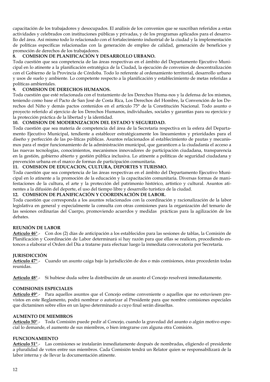capacitación de los trabajadores y desocupados. El análisis de los convenios que se suscriban referidos a estas actividades y celebrados con instituciones públicas y privadas, y de los programas aplicados para el desarrollo del área. Así mismo todo lo relacionado con el fortalecimiento industrial de la ciudad y la implementación de políticas específicas relacionadas con la generación de empleo de calidad, generación de beneficios y promoción de derechos de los trabajadores.

#### **8. COMISION DE PLANIFICACIÓN Y DESARROLLO URBANO.**

Toda cuestión que sea competencia de las áreas respectivas en el ámbito del Departamento Ejecutivo Municipal en lo atinente a la planificación estratégica de la Ciudad, la ejecución de convenios de descentralización con el Gobierno de la Provincia de Córdoba. Todo lo referente al ordenamiento territorial, desarrollo urbano y usos de suelo y ambiente. Lo competente respecto a la planificación y establecimiento de metas referidas a políticas ambientales.<br>9. COMISION DE

#### **9. COMISION DE DERECHOS HUMANOS.**

Toda cuestión que esté relacionada con el tratamiento de los Derechos Huma-nos y la defensa de los mismos, teniendo como base el Pacto de San José de Costa Rica, Los Derechos del Hombre, la Convención de los Derechos del Niño y demás pactos contenidos en el artículo 75° de la Constitución Nacional. Todo asunto o proyecto referido al ejercicio de los Derechos Humanos, individuales, sociales y garantías para su ejercicio y la protección práctica de la libertad y la identidad.

#### **10. COMISION DE MODERNIZACION DEL ESTADO Y SEGURIDAD.**

Toda cuestión que sea materia de competencia del área de la Secretaría respectiva en la esfera del Departamento Ejecutivo Municipal, tendiente a establecer estratégicamente los lineamientos y prioridades para el diseño y perfección de las po-líticas públicas. Asuntos relacionados al establecimiento de pautas y mecanismos para el mejor funcionamiento de la administración municipal, que garanticen a la ciudadanía el acceso a las nuevas tecnologías, conocimientos, mecanismos innovadores de participación ciudadana, transparencia en la gestión, gobierno abierto y gestión pública inclusiva. Lo atinente a políticas de seguridad ciudadana y prevención urbana en el marco de formas de participación comunitaria.

#### **11. COMISION DE EDUCACION, CULTURA, DEPORTES Y TURISMO.**

Toda cuestión que sea competencia de las áreas respectivas en el ámbito del Departamento Ejecutivo Municipal en lo atinente a la promoción de la educación y la capacitación comunitaria. Diversas formas de manifestaciones de la cultura, el arte y la protección del patrimonio histórico, artístico y cultural. Asuntos atinentes a la difusión del deporte, el uso del tiempo libre y desarrollo turístico de la ciudad.

#### **12. COMISION DE PLANIFICACIÓN Y COORDINACIÓN DE LABOR.**

Toda cuestión que corresponda a los asuntos relacionados con la coordinación y racionalización de la labor legislativa en general y especialmente la consulta con otras comisiones para la organización del temario de las sesiones ordinarias del Cuerpo, promoviendo acuerdos y medidas prácticas para la agilización de los debates.

#### <span id="page-11-0"></span>**REUNIÓN DE LABOR**

**Artículo 46°**.- Con dos (2) días de anticipación a los establecidos para las sesiones de tablas, la Comisión de Planificación y Coordinación de Labor determinará si hay razón para que ellas se realicen, procediendo entonces a elaborar el Orden del Día a tratarse para efectuar luego la inmediata convocatoria por Secretaría.

#### <span id="page-11-1"></span>**JURISDICCIÓN**

**Artículo 47°**.- Cuando un asunto caiga bajo la jurisdicción de dos o más comisiones, éstas procederán todas reunidas.

**Artículo 48°**.- Si hubiese duda sobre la distribución de un asunto el Concejo resolverá inmediatamente.

#### <span id="page-11-2"></span>**COMISIONES ESPECIALES**

**Artículo 49°**.- Para aquellos asuntos que el Concejo estime conveniente o aquellos que no estuviesen previstos en este Reglamento, podrá nombrar o autorizar al Presidente para que nombre comisiones especiales que dictaminen sobre ellos en un lapso determinado a cuyo final serán disueltas.

#### <span id="page-11-3"></span>**AUMENTO DE MIEMBROS**

**Artículo 50°**.- Toda Comisión puede pedir al Concejo, cuando la gravedad del asunto o algún motivo especial lo demande, el aumento de sus miembros, o bien integrarse con alguna otra Comisión.

#### <span id="page-11-4"></span>**FUNCIONAMIENTO**

**Artículo 51°**.- Las comisiones se instalarán inmediatamente después de nombradas, eligiendo el presidente a pluralidad de votos entre sus miembros. Cada Comisión tendrá un Relator quien se responsabilizará de la labor interna y de llevar la documentación atinente.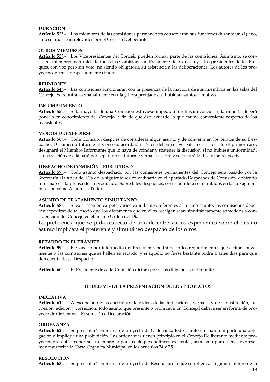#### <span id="page-12-0"></span>**DURACIÓN**

**Artículo 52°**.- Los miembros de las comisiones permanentes conservarán sus funciones durante un (1) año, a no ser que sean relevados por el Concejo Deliberante.

#### <span id="page-12-1"></span>**OTROS MIEMBROS**

**Artículo 53°**.- Los Vicepresidentes del Concejo pueden formar parte de las comisiones. Asimismo, se considera miembros naturales de todas las Comisiones al Presidente del Concejo y a los presidentes de los Bloques, con voz pero sin voto, no siendo obligatoria su asistencia a las deliberaciones. Los autores de los proyectos deben ser especialmente citados.

#### <span id="page-12-2"></span>**REUNIONES**

**Artículo 54°**.- Las comisiones funcionarán con la presencia de la mayoría de sus miembros en las salas del Concejo. Se reunirán semanalmente en día y hora prefijados, si hubiera asuntos o motivo.

#### <span id="page-12-3"></span>**INCUMPLIMIENTO**

**Artículo 55°**.- Si la mayoría de una Comisión estuviese impedida o rehusara concurrir, la minoría deberá ponerlo en conocimiento del Concejo, a fin de que éste acuerde lo que estime conveniente respecto de los inasistentes.

#### <span id="page-12-4"></span>**MODOS DE EXPEDIRSE**

**Artículo 56°**.- Toda Comisión después de considerar algún asunto y de convenir en los puntos de su Despacho, Dictamen o Informe al Concejo, acordará si éstos deben ser verbales o escritos. En el primer caso, designará el Miembro Informante que lo haya de brindar y sostener la discusión; si no hubiese uniformidad, cada fracción de ella hará por separado su informe verbal o escrito y sostendrá la discusión respectiva.

#### <span id="page-12-5"></span>**DESPACHO DE COMISIÓN - PUBLICIDAD**

**Artículo 57°**.- Todo asunto despachado por las comisiones permanentes del Concejo será pasado por la Secretaría al Orden del Día de la siguiente sesión ordinaria en el apartado Despachos de Comisión, debiendo informarse a la prensa de su producido. Sobre tales despachos, corresponderá sean tratados en la subsiguiente sesión como Asuntos a Tratar.

#### <span id="page-12-6"></span>**ASUNTO DE TRATAMIENTO SIMULTÁNEO**

**Artículo 58°**.- Si existiesen en carpeta varios expedientes referentes al mismo asunto, las comisiones deberán expedirse de tal modo que los dictámenes que en ellos recaigan sean simultáneamente sometidos a consideración del Concejo en el mismo Orden del Día.

La preferencia que se pida respecto de uno de entre varios expedientes sobre el mismo asunto implicará el preferente y simultáneo despacho de los otros.

#### <span id="page-12-7"></span>**RETARDO EN EL TRÁMITE**

**Artículo 59°**.- El Concejo por intermedio del Presidente, podrá hacer los requerimientos que estime convenientes a las comisiones que se hallen en retardo, y si aquello no fuese bastante podrá fijarles días para que den cuenta de su Despacho.

<span id="page-12-8"></span>**Artículo 60°**.- El Presidente de cada Comisión dictará por sí las diligencias del trámite.

#### **TÍTULO VI - DE LA PRESENTACIÓN DE LOS PROYECTOS**

#### <span id="page-12-9"></span>**INICIATIVA**

**Artículo 61°**.- A excepción de las cuestiones de orden, de las indicaciones verbales y de la sustitución, supresión, adición y corrección, todo asunto que presente o promueva un Concejal deberá ser en forma de proyecto de Ordenanza, Resolución o Declaración.

#### <span id="page-12-10"></span>**ORDENANZA**

**Artículo 62°**.- Se presentará en forma de proyecto de Ordenanza todo asunto en cuanto importe una obligación o implique una prohibición. Las ordenanzas tienen principio en el Concejo Deliberante mediante proyectos presentados por sus miembros o por los bloques políticos existentes, asimismo por quienes expresamente autoriza la Carta Orgánica Municipal en los artículos 74 y 75.

#### <span id="page-12-11"></span>**RESOLUCIÓN**

**Artículo 63°**.- Se presentará en forma de proyecto de Resolución lo que se refiera al régimen interno de la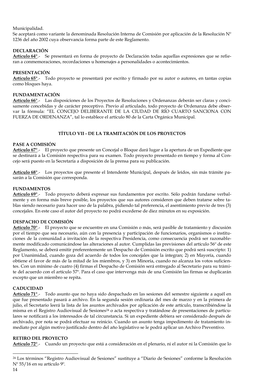Municipalidad.

Se aceptará como variante la denominada Resolución Interna de Comisión por aplicación de la Resolución  $N^{\circ}$ 1236 del año 2002 cuya observancia forma parte de este Reglamento.

#### <span id="page-13-0"></span>**DECLARACIÓN**

**Artículo 64°**.- Se presentará en forma de proyecto de Declaración todas aquellas expresiones que se refieran a conmemoraciones, recordaciones u homenajes a personalidades o acontecimientos.

#### <span id="page-13-1"></span>**PRESENTACIÓN**

**Artículo 65°**.- Todo proyecto se presentará por escrito y firmado por su autor o autores, en tantas copias como bloques haya.

#### <span id="page-13-2"></span>**FUNDAMENTACIÓN**

**Artículo 66°**.- Las disposiciones de los Proyectos de Resoluciones y Ordenanzas deberán ser claras y concisamente concebidas y de carácter preceptivo. Previo al articulado, todo proyecto de Ordenanza debe observar la fórmula: "EL CONCEJO DELIBERANTE DE LA CIUDAD DE RÍO CUARTO SANCIONA CON FUERZA DE ORDENANZA", tal lo establece el artículo 80 de la Carta Orgánica Municipal.

#### **TÍTULO VII - DE LA TRAMITACIÓN DE LOS PROYECTOS**

#### <span id="page-13-4"></span><span id="page-13-3"></span>**PASE A COMISIÓN**

**Artículo 67°**.- El proyecto que presente un Concejal o Bloque dará lugar a la apertura de un Expediente que se destinará a la Comisión respectiva para su examen. Todo proyecto presentado en tiempo y forma al Concejo será puesto en la Secretaría a disposición de la prensa para su publicación.

**Artículo 68°**.- Los proyectos que presente el Intendente Municipal, después de leídos, sin más trámite pasarán a la Comisión que corresponda.

#### <span id="page-13-5"></span>**FUNDAMENTOS**

**Artículo 69°**.- Todo proyecto deberá expresar sus fundamentos por escrito. Sólo podrán fundarse verbalmente y en forma más breve posible, los proyectos que sus autores consideren que deben tratarse sobre tablas siendo necesario para hacer uso de la palabra, pidiendo tal preferencia, el asentimiento previo de tres (3) concejales. En este caso el autor del proyecto no podrá excederse de diez minutos en su exposición.

#### <span id="page-13-6"></span>**DESPACHO DE COMISIÓN**

**Artículo 70°**.- El proyecto que se encuentre en una Comisión o más, será pasible de tratamiento y discusión por el tiempo que sea necesario, aún con la presencia y participación de funcionarios, organismos o instituciones de la comunidad a invitación de la respectiva Presidencia, como consecuencia podrá ser razonablemente modificado comunicándose las alteraciones al autor. Cumplidas las previsiones del artículo 56º de este Reglamento, se deberá emitir preferentemente un Despacho de Comisión escrito que podrá será suscripto: 1) por Unanimidad, cuando goza del acuerdo de todos los concejales que la integran; 2) en Mayoría, cuando obtiene el favor de más de la mitad de los miembros, y 3) en Minoría, cuando no alcanza los votos suficientes. Con un mínimo de cuatro (4) firmas el Despacho de Comisión será entregado al Secretario para su trámite del acuerdo con el artículo 57º. Para el caso que intervenga más de una Comisión las firmas se duplicarán excepto que un miembro se repita.

#### <span id="page-13-7"></span>**CADUCIDAD**

**Artículo 71°**.- Todo asunto que no haya sido despachado en las sesiones del semestre siguiente a aquél en que fue presentado pasará a archivo. En la segunda sesión ordinaria del mes de marzo y en la primera de julio, el Secretario leerá la lista de los asuntos archivados por aplicación de este artículo, transcribiéndose la misma en el Registro Audiovisual de Sesiones<sup>24</sup> o acta respectiva y tratándose de presentaciones de particulares se notificará a los interesados de tal circunstancia. Si un expediente debiera ser considerado después de archivado, por nota se podrá efectuar su reinicio. Cuando un asunto tenga impedimento de tratamiento inmediato por algún motivo justificado dentro del año legislativo se le podrá aplicar un Archivo Preventivo.

#### <span id="page-13-8"></span>**RETIRO DEL PROYECTO**

**Artículo 72°**.- Cuando un proyecto que está a consideración en el plenario, ni el autor ni la Comisión que lo

j

<sup>24</sup> Los términos "Registro Audiovisual de Sesiones" sustituye a "Diario de Sesiones" conforme la Resolución Nº 55/16 en su artículo 9º.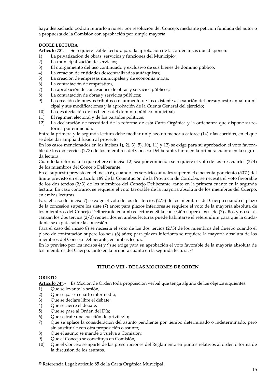haya despachado podrán retirarlo a no ser por resolución del Concejo, mediante petición fundada del autor o a propuesta de la Comisión con aprobación por simple mayoría.

#### <span id="page-14-0"></span>**DOBLE LECTURA**

**Artículo 73°**.- Se requiere Doble Lectura para la aprobación de las ordenanzas que disponen:

- 1) La privatización de obras, servicios y funciones del Municipio;
- 2) La municipalización de servicios;
- 3) El otorgamiento del uso continuado y exclusivo de sus bienes de dominio público;
- 4) La creación de entidades descentralizadas autárquicas;
- 5) La creación de empresas municipales y de economía mixta;
- 6) La contratación de empréstitos;
- 7) La aprobación de concesiones de obras y servicios públicos;
- 8) La contratación de obras y servicios públicos;
- 9) La creación de nuevos tributos o el aumento de los existentes, la sanción del presupuesto anual municipal y sus modificaciones y la aprobación de la Cuenta General del ejercicio;
- 10) La desafectación de los bienes del dominio público municipal;
- 11) El régimen electoral y de los partidos políticos;
- 12) La declaración de necesidad de la reforma de esta Carta Orgánica y la ordenanza que dispone su reforma por enmienda.

Entre la primera y la segunda lectura debe mediar un plazo no menor a catorce (14) días corridos, en el que se debe dar amplia difusión al proyecto.

En los casos mencionados en los incisos 1), 2), 3), 5), 10), 11) y 12) se exige para su aprobación el voto favorable de los dos tercios (2/3) de los miembros del Concejo Deliberante, tanto en la primera cuanto en la segunda lectura.

Cuando la reforma a la que refiere el inciso 12) sea por enmienda se requiere el voto de los tres cuartos (3/4) de los miembros del Concejo Deliberante.

En el supuesto previsto en el inciso 6), cuando los servicios anuales superen el cincuenta por ciento (50%) del límite previsto en el artículo 189 de la Constitución de la Provincia de Córdoba, se necesita el voto favorable de los dos tercios (2/3) de los miembros del Concejo Deliberante, tanto en la primera cuanto en la segunda lectura. En caso contrario, se requiere el voto favorable de la mayoría absoluta de los miembros del Cuerpo, en ambas lecturas.

Para el caso del inciso 7) se exige el voto de los dos tercios (2/3) de los miembros del Cuerpo cuando el plazo de la concesión supere los siete (7) años; para plazos inferiores se requiere el voto de la mayoría absoluta de los miembros del Concejo Deliberante en ambas lecturas. Si la concesión supera los siete (7) años y no se alcanzan los dos tercios (2/3) requeridos en ambas lecturas puede habilitarse el referéndum para que la ciudadanía se expida sobre la concesión.

Para el caso del inciso 8) se necesita el voto de los dos tercios (2/3) de los miembros del Cuerpo cuando el plazo de contratación supere los seis (6) años; para plazos inferiores se requiere la mayoría absoluta de los miembros del Concejo Deliberante, en ambas lecturas.

<span id="page-14-1"></span>En lo previsto por los incisos 4) y 9) se exige para su aprobación el voto favorable de la mayoría absoluta de los miembros del Cuerpo, tanto en la primera cuanto en la segunda lectura. <sup>25</sup>

#### **TÍTULO VIII - DE LAS MOCIONES DE ORDEN**

#### <span id="page-14-2"></span>**OBJETO**

-

**Artículo 74°**.- Es Moción de Orden toda proposición verbal que tenga alguno de los objetos siguientes:

- 1) Que se levante la sesión;
- 2) Que se pase a cuarto intermedio;
- 3) Que se declare libre el debate;
- 4) Que se cierre el debate;
- 5) Que se pase al Orden del Día;
- 6) Que se trate una cuestión de privilegio;
- 7) Que se aplace la consideración del asunto pendiente por tiempo determinado o indeterminado, pero sin sustituirle con otra proposición o asunto;
- 8) Que el asunto se mande o vuelva a Comisión;
- 9) Que el Concejo se constituya en Comisión;
- 10) Que el Concejo se aparte de las prescripciones del Reglamento en puntos relativos al orden o forma de la discusión de los asuntos.

<sup>25</sup> Referencia Legal: artículo 85 de la Carta Orgánica Municipal.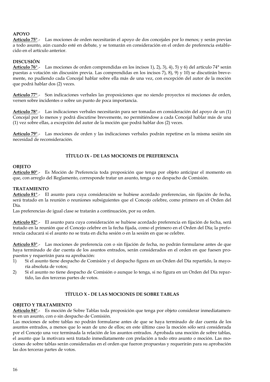#### <span id="page-15-0"></span>**APOYO**

**Artículo 75°**.- Las mociones de orden necesitarán el apoyo de dos concejales por lo menos; y serán previas a todo asunto, aún cuando esté en debate, y se tomarán en consideración en el orden de preferencia establecido en el artículo anterior.

#### <span id="page-15-1"></span>**DISCUSIÓN**

**Artículo 76°**.- Las mociones de orden comprendidas en los incisos 1), 2), 3), 4), 5) y 6) del artículo 74° serán puestas a votación sin discusión previa. Las comprendidas en los incisos 7), 8), 9) y 10) se discutirán brevemente, no pudiendo cada Concejal hablar sobre ella más de una vez, con excepción del autor de la moción que podrá hablar dos (2) veces.

**Artículo 77°**.- Son indicaciones verbales las proposiciones que no siendo proyectos ni mociones de orden, versen sobre incidentes o sobre un punto de poca importancia.

**Artículo 78°**.- Las indicaciones verbales necesitarán para ser tomadas en consideración del apoyo de un (1) Concejal por lo menos y podrá discutirse brevemente, no permitiéndose a cada Concejal hablar más de una (1) vez sobre ellas, a excepción del autor de la moción que podrá hablar dos (2) veces.

**Artículo 79°**.- Las mociones de orden y las indicaciones verbales podrán repetirse en la misma sesión sin necesidad de reconsideración.

#### **TÍTULO IX - DE LAS MOCIONES DE PREFERENCIA**

#### <span id="page-15-3"></span><span id="page-15-2"></span>**OBJETO**

**Artículo 80°**.- Es Moción de Preferencia toda proposición que tenga por objeto anticipar el momento en que, con arreglo del Reglamento, corresponde tratar un asunto, tenga o no despacho de Comisión.

#### <span id="page-15-4"></span>**TRATAMIENTO**

**Artículo 81°**.- El asunto para cuya consideración se hubiese acordado preferencias, sin fijación de fecha, será tratado en la reunión o reuniones subsiguientes que el Concejo celebre, como primero en el Orden del Día.

Las preferencias de igual clase se tratarán a continuación, por su orden.

**Artículo 82°**.- El asunto para cuya consideración se hubiese acordado preferencia en fijación de fecha, será tratado en la reunión que el Concejo celebre en la fecha fijada, como el primero en el Orden del Día; la preferencia caducará si el asunto no se trata en dicha sesión o en la sesión en que se celebre.

**Artículo 83°**.- Las mociones de preferencia con o sin fijación de fecha, no podrán formularse antes de que haya terminado de dar cuenta de los asuntos entrados, serán considerados en el orden en que fuesen propuestos y requerirán para su aprobación:

- 1) Si el asunto tiene despacho de Comisión y el despacho figura en un Orden del Día repartido, la mayoría absoluta de votos;
- 2) Si el asunto no tiene despacho de Comisión o aunque lo tenga, si no figura en un Orden del Día repartido, las dos terceras partes de votos.

#### **TÍTULO X - DE LAS MOCIONES DE SOBRE TABLAS**

#### <span id="page-15-6"></span><span id="page-15-5"></span>**OBJETO Y TRATAMIENTO**

**Artículo 84°**.- Es moción de Sobre Tablas toda proposición que tenga por objeto considerar inmediatamente en un asunto, con o sin despacho de Comisión.

Las mociones de sobre tablas no podrán formularse antes de que se haya terminado de dar cuenta de los asuntos entrados, a menos que lo sean de uno de ellos; en este último caso la moción sólo será considerada por el Concejo una vez terminada la relación de los asuntos entrados. Aprobada una moción de sobre tablas, el asunto que la motivara será tratado inmediatamente con prelación a todo otro asunto o moción. Las mociones de sobre tablas serán consideradas en el orden que fueron propuestas y requerirán para su aprobación las dos terceras partes de votos.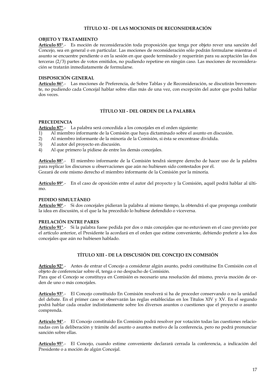#### **TÍTULO XI - DE LAS MOCIONES DE RECONSIDERACIÓN**

#### <span id="page-16-1"></span><span id="page-16-0"></span>**OBJETO Y TRATAMIENTO**

**Artículo 85°**.- Es moción de reconsideración toda proposición que tenga por objeto rever una sanción del Concejo, sea en general o en particular. Las mociones de reconsideración sólo podrán formularse mientras el asunto se encuentre pendiente o en la sesión en que quede terminado y requerirán para su aceptación las dos terceras (2/3) partes de votos emitidos, no pudiendo repetirse en ningún caso. Las mociones de reconsideración se tratarán inmediatamente de formularse.

#### <span id="page-16-2"></span>**DISPOSICIÓN GENERAL**

**Artículo 86°**.- Las mociones de Preferencia, de Sobre Tablas y de Reconsideración, se discutirán brevemente, no pudiendo cada Concejal hablar sobre ellas más de una vez, con excepción del autor que podrá hablar dos veces.

#### **TÍTULO XII - DEL ORDEN DE LA PALABRA**

#### <span id="page-16-4"></span><span id="page-16-3"></span>**PRECEDENCIA**

**Artículo 87°**.- La palabra será concedida a los concejales en el orden siguiente:

- 1) Al miembro informante de la Comisión que haya dictaminado sobre el asunto en discusión.
- 2) Al miembro informante de la minoría de la Comisión, si ésta se encontrase dividida.
- 3) Al autor del proyecto en discusión.
- 4) Al que primero la pidiese de entre los demás concejales.

**Artículo 88°**.- El miembro informante de la Comisión tendrá siempre derecho de hacer uso de la palabra para replicar los discursos u observaciones que aún no hubiesen sido contestados por él. Gozará de este mismo derecho el miembro informante de la Comisión por la minoría.

**Artículo 89°**.- En el caso de oposición entre el autor del proyecto y la Comisión, aquél podrá hablar al último.

#### <span id="page-16-5"></span>**PEDIDO SIMULTÁNEO**

**Artículo 90°**.- Si dos concejales pidieran la palabra al mismo tiempo, la obtendrá el que proponga combatir la idea en discusión, si el que la ha precedido lo hubiese defendido o viceversa.

#### <span id="page-16-6"></span>**PRELACIÓN ENTRE PARES**

**Artículo 91°**.- Si la palabra fuese pedida por dos o más concejales que no estuviesen en el caso previsto por el artículo anterior, el Presidente la acordará en el orden que estime conveniente, debiendo preferir a los dos concejales que aún no hubiesen hablado.

#### **TÍTULO XIII - DE LA DISCUSIÓN DEL CONCEJO EN COMISIÓN**

<span id="page-16-7"></span>**Artículo 92°**.- Antes de entrar el Concejo a considerar algún asunto, podrá constituirse En Comisión con el objeto de conferenciar sobre él, tenga o no despacho de Comisión.

Para que el Concejo se constituya en Comisión es necesario una resolución del mismo, previa moción de orden de uno o más concejales.

**Artículo 93°**.- El Concejo constituido En Comisión resolverá si ha de proceder conservando o no la unidad del debate. En el primer caso se observarán las reglas establecidas en los Títulos XIV y XV. En el segundo podrá hablar cada orador indistintamente sobre los diversos asuntos o cuestiones que el proyecto o asunto comprenda.

**Artículo 94°**.- El Concejo constituido En Comisión podrá resolver por votación todas las cuestiones relacionadas con la deliberación y trámite del asunto o asuntos motivo de la conferencia, pero no podrá pronunciar sanción sobre ellas.

**Artículo 95°**.- El Concejo, cuando estime conveniente declarará cerrada la conferencia, a indicación del Presidente o a moción de algún Concejal.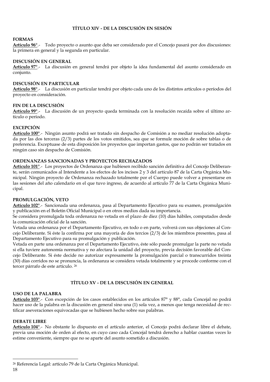#### **TÍTULO XIV - DE LA DISCUSIÓN EN SESIÓN**

#### <span id="page-17-1"></span><span id="page-17-0"></span>**FORMAS**

**Artículo 96°**.- Todo proyecto o asunto que deba ser considerado por el Concejo pasará por dos discusiones: la primera en general y la segunda en particular.

#### <span id="page-17-2"></span>**DISCUSIÓN EN GENERAL**

**Artículo 97°**.- La discusión en general tendrá por objeto la idea fundamental del asunto considerado en conjunto.

#### <span id="page-17-3"></span>**DISCUSIÓN EN PARTICULAR**

**Artículo 98°**.- La discusión en particular tendrá por objeto cada uno de los distintos artículos o períodos del proyecto en consideración.

#### <span id="page-17-4"></span>**FIN DE LA DISCUSIÓN**

**Artículo 99°**.- La discusión de un proyecto queda terminada con la resolución recaída sobre el último artículo o período.

#### <span id="page-17-5"></span>**EXCEPCIÓN**

**Artículo 100°**.- Ningún asunto podrá ser tratado sin despacho de Comisión a no mediar resolución adoptada por las dos terceras (2/3) partes de los votos emitidos, sea que se formule moción de sobre tablas o de preferencia. Exceptuase de esta disposición los proyectos que importan gastos, que no podrán ser tratados en ningún caso sin despacho de Comisión.

#### <span id="page-17-6"></span>**ORDENANZAS SANCIONADAS Y PROYECTOS RECHAZADOS**

**Artículo 101°**.- Los proyectos de Ordenanza que hubiesen recibido sanción definitiva del Concejo Deliberante, serán comunicados al Intendente a los efectos de los incisos 2 y 3 del artículo 87 de la Carta Orgánica Municipal. Ningún proyecto de Ordenanza rechazado totalmente por el Cuerpo puede volver a presentarse en las sesiones del año calendario en el que tuvo ingreso, de acuerdo al artículo 77 de la Carta Orgánica Municipal.

#### <span id="page-17-7"></span>**PROMULGACIÓN, VETO**

**Artículo 102°**.- Sancionada una ordenanza, pasa al Departamento Ejecutivo para su examen, promulgación y publicación en el Boletín Oficial Municipal o en otros medios dada su importancia.

Se considera promulgada toda ordenanza no vetada en el plazo de diez (10) días hábiles, computados desde la comunicación oficial de la sanción.

Vetada una ordenanza por el Departamento Ejecutivo, en todo o en parte, volverá con sus objeciones al Concejo Deliberante. Si éste la confirma por una mayoría de dos tercios (2/3) de los miembros presentes, pasa al Departamento Ejecutivo para su promulgación y publicación.

Vetada en parte una ordenanza por el Departamento Ejecutivo, éste sólo puede promulgar la parte no vetada si ella tuviere autonomía normativa y no afectara la unidad del proyecto, previa decisión favorable del Concejo Deliberante. Si éste decide no autorizar expresamente la promulgación parcial o transcurridos treinta (30) días corridos no se pronuncia, la ordenanza se considera vetada totalmente y se procede conforme con el tercer párrafo de este artículo. <sup>26</sup>

#### **TÍTULO XV - DE LA DISCUSIÓN EN GENERAL**

#### <span id="page-17-9"></span><span id="page-17-8"></span>**USO DE LA PALABRA**

**Artículo 103°**.- Con excepción de los casos establecidos en los artículos 87° y 88°, cada Concejal no podrá hacer uso de la palabra en la discusión en general sino una (1) sola vez, a menos que tenga necesidad de rectificar aseveraciones equivocadas que se hubiesen hecho sobre sus palabras.

#### <span id="page-17-10"></span>**DEBATE LIBRE**

**Artículo 104°**.- No obstante lo dispuesto en el artículo anterior, el Concejo podrá declarar libre el debate, previa una moción de orden al efecto, en cuyo caso cada Concejal tendrá derecho a hablar cuantas veces lo estime conveniente, siempre que no se aparte del asunto sometido a discusión.

-

<sup>26</sup> Referencia Legal: artículo 79 de la Carta Orgánica Municipal.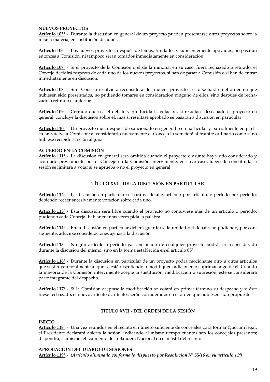#### <span id="page-18-0"></span>**NUEVOS PROYECTOS**

**Artículo 105°**.- Durante la discusión en general de un proyecto pueden presentarse otros proyectos sobre la misma materia, en sustitución de aquél.

**Artículo 106°**.- Los nuevos proyectos, después de leídos, fundados y suficientemente apoyados, no pasarán entonces a Comisión, ni tampoco serán tomados inmediatamente en consideración.

**Artículo 107°**.- Si el proyecto de la Comisión o el de la minoría, en su caso, fuera rechazado o retirado, el Concejo decidirá respecto de cada uno de los nuevos proyectos, si han de pasar a Comisión o si han de entrar inmediatamente en discusión.

**Artículo 108°**.- Si el Concejo resolviera reconsiderar los nuevos proyectos, esto se hará en el orden en que hubiesen sido presentados, no pudiendo tomarse en consideración ninguno de ellos, sino después de rechazado o retirado el anterior.

**Artículo 109°**.- Cerrado que sea el debate y producida la votación, si resultase desechado el proyecto en general, concluye la discusión sobre él, más si resultase aprobado se pasarán a discusión en particular.

**Artículo 110°**.- Un proyecto que, después de sancionado en general o en particular y parcialmente en particular, vuelve a Comisión; al considerarlo nuevamente el Concejo lo someterá al trámite ordinario como si no hubiese recibido sanción alguna.

#### <span id="page-18-1"></span>**ACUERDO EN LA COMISIÓN**

**Artículo 111°**.- La discusión en general será omitida cuando el proyecto o asunto haya sido considerado y acordado previamente por el Concejo en la Comisión interviniente, en cuyo caso, luego de constituida la sesión se limitará a votar si se aprueba o no el proyecto en general.

#### **TÍTULO XVI - DE LA DISCUSIÓN EN PARTICULAR**

<span id="page-18-2"></span>**Artículo 112°**.- La discusión en particular se hará en detalle, artículo por artículo, o período por período, debiendo recaer sucesivamente votación sobre cada uno.

**Artículo 113°**.- Esta discusión será libre cuando el proyecto no contuviese más de un artículo o período, pudiendo cada Concejal hablar cuantas veces pida la palabra.

**Artículo 114°**.- En la discusión en particular deberá guardarse la unidad del debate, no pudiendo, por consiguiente, aducirse consideraciones ajenas a la discusión.

**Artículo 115°**.- Ningún artículo o período ya sancionado de cualquier proyecto podrá ser reconsiderado durante la discusión del mismo, sino en la forma establecida en el artículo 85°.

**Artículo 116°**.- Durante la discusión en particular de un proyecto podrá mocionarse otro u otros artículos que sustituyan totalmente al que se está discutiendo o modifiquen, adicionen o supriman algo de él. Cuando la mayoría de la Comisión interviniente acepte la sustitución, modificación o supresión, éste se considerará parte integrante del despacho.

<span id="page-18-3"></span>**Artículo 117°**.- Si la Comisión aceptase la modificación se votará en primer término su despacho y si éste fuese rechazado, el nuevo artículo o artículos serán considerados en el orden que hubiesen sido propuestos.

#### **TÍTULO XVII - DEL ORDEN DE LA SESIÓN**

#### <span id="page-18-4"></span>**INICIO**

**Artículo 118°**.- Una vez reunidos en el recinto el número suficiente de concejales para formar Quórum legal, el Presidente declarará abierta la sesión, indicando al mismo tiempo cuántos son los concejales presentes; dispondrá, asimismo, el izamiento de la Bandera Nacional en el mástil del recinto.

#### <span id="page-18-5"></span>**APROBACIÓN DEL DIARIO DE SESIONES**

**Artículo 119°**.- *(Artículo eliminado conforme lo dispuesto por Resolución Nº 55/16 en su artículo 11º)*.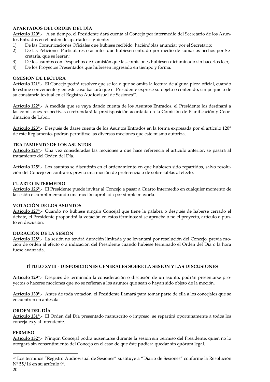#### <span id="page-19-0"></span>**APARTADOS DEL ORDEN DEL DÍA**

**Artículo 120°**.- A su tiempo, el Presidente dará cuenta al Concejo por intermedio del Secretario de los Asuntos Entrados en el orden de apartados siguiente:

- 
- 1) De las Comunicaciones Oficiales que hubiese recibido, haciéndolas anunciar por el Secretario;<br>2) De las Peticiones Particulares o asuntos que hubiesen entrado por medio de sumarios hecho 2) De las Peticiones Particulares o asuntos que hubiesen entrado por medio de sumarios hechos por Secretaría, que se leerán;
- 3) De los asuntos con Despachos de Comisión que las comisiones hubiesen dictaminado sin hacerlos leer;<br>4) De los Proyectos Presentados que hubiesen ingresado en tiempo y forma.
- De los Proyectos Presentados que hubiesen ingresado en tiempo y forma.

#### <span id="page-19-1"></span>**OMISIÓN DE LECTURA**

**Artículo 121°**.- El Concejo podrá resolver que se lea o que se omita la lectura de alguna pieza oficial, cuando lo estime conveniente y en este caso bastará que el Presidente exprese su objeto o contenido, sin perjuicio de su constancia textual en el Registro Audiovisual de Sesiones<sup>27</sup>.

**Artículo 122°**.- A medida que se vaya dando cuenta de los Asuntos Entrados, el Presidente los destinará a las comisiones respectivas o refrendará la predisposición acordada en la Comisión de Planificación y Coordinación de Labor.

**Artículo 123°**.- Después de darse cuenta de los Asuntos Entrados en la forma expresada por el artículo 120° de este Reglamento, podrán permitirse las diversas mociones que este mismo autoriza.

#### <span id="page-19-2"></span>**TRATAMIENTO DE LOS ASUNTOS**

**Artículo 124°**.- Una vez consideradas las mociones a que hace referencia el artículo anterior, se pasará al tratamiento del Orden del Día.

**Artículo 125°**.- Los asuntos se discutirán en el ordenamiento en que hubiesen sido repartidos, salvo resolución del Concejo en contrario, previa una moción de preferencia o de sobre tablas al efecto.

#### <span id="page-19-3"></span>**CUARTO INTERMEDIO**

**Artículo 126°**.- El Presidente puede invitar al Concejo a pasar a Cuarto Intermedio en cualquier momento de la sesión o cumplimentando una moción aprobada por simple mayoría.

#### <span id="page-19-4"></span>**VOTACIÓN DE LOS ASUNTOS**

**Artículo 127°**.- Cuando no hubiese ningún Concejal que tiene la palabra o después de haberse cerrado el debate, el Presidente propondrá la votación en estos términos: si se aprueba o no el proyecto, artículo o punto en discusión.

#### <span id="page-19-5"></span>**DURACIÓN DE LA SESIÓN**

**Artículo 128°**.- La sesión no tendrá duración limitada y se levantará por resolución del Concejo, previa moción de orden al efecto o a indicación del Presidente cuando hubiese terminado el Orden del Día o la hora fuese avanzada.

#### <span id="page-19-6"></span>**TÍTULO XVIII - DISPOSICIONES GENERALES SOBRE LA SESIÓN Y LAS DISCUSIONES**

**Artículo 129°**.- Después de terminada la consideración o discusión de un asunto, podrán presentarse proyectos o hacerse mociones que no se refieran a los asuntos que sean o hayan sido objeto de la moción.

**Artículo 130°**.- Antes de toda votación, el Presidente llamará para tomar parte de ella a los concejales que se encuentren en antesala.

#### <span id="page-19-7"></span>**ORDEN DEL DÍA**

**Artículo 131°**.- El Orden del Día presentado manuscrito o impreso, se repartirá oportunamente a todos los concejales y al Intendente.

#### <span id="page-19-8"></span>**PERMISO**

**Artículo 132°**.- Ningún Concejal podrá ausentarse durante la sesión sin permiso del Presidente, quien no lo otorgará sin consentimiento del Concejo en el caso de que éste pudiera quedar sin quórum legal.

j

<sup>27</sup> Los términos "Registro Audiovisual de Sesiones" sustituye a "Diario de Sesiones" conforme la Resolución Nº 55/16 en su artículo 9º.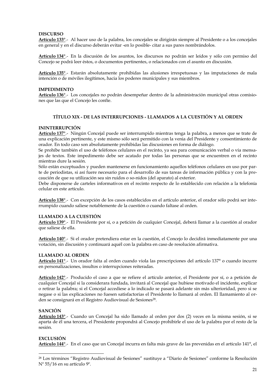#### <span id="page-20-0"></span>**DISCURSO**

**Artículo 133°**.- Al hacer uso de la palabra, los concejales se dirigirán siempre al Presidente o a los concejales en general y en el discurso deberán evitar -en lo posible- citar a sus pares nombrándolos.

**Artículo 134°**.- En la discusión de los asuntos, los discursos no podrán ser leídos y sólo con permiso del Concejo se podrá leer éstos, o documentos pertinentes, o relacionados con el asunto en discusión.

**Artículo 135°**.- Estarán absolutamente prohibidas las alusiones irrespetuosas y las imputaciones de mala intención o de móviles ilegítimos, hacia los poderes municipales y sus miembros.

#### <span id="page-20-1"></span>**IMPEDIMENTO**

**Artículo 136°**.- Los concejales no podrán desempeñar dentro de la administración municipal otras comisiones que las que el Concejo les confíe.

#### **TÍTULO XIX - DE LAS INTERRUPCIONES - LLAMADOS A LA CUESTIÓN Y AL ORDEN**

#### <span id="page-20-3"></span><span id="page-20-2"></span>**ININTERRUPCIÓN**

**Artículo 137°**.- Ningún Concejal puede ser interrumpido mientras tenga la palabra, a menos que se trate de una explicación pertinente, y este mismo sólo será permitido con la venia del Presidente y consentimiento de orador. En todo caso son absolutamente prohibidas las discusiones en forma de diálogo.

Se prohíbe también el uso de teléfonos celulares en el recinto, ya sea para comunicación verbal o vía mensajes de textos. Este impedimento debe ser acatado por todas las personas que se encuentren en el recinto mientras dure la sesión.

Sólo están exceptuados y pueden mantenerse en funcionamiento aquellos teléfonos celulares en uso por parte de periodistas, si así fuere necesario para el desarrollo de sus tareas de información pública y con la precaución de que su utilización sea sin ruidos o so-nidos (del aparato) al exterior.

Debe disponerse de carteles informativos en el recinto respecto de lo establecido con relación a la telefonía celular en este artículo.

**Artículo 138°**.- Con excepción de los casos establecidos en el artículo anterior, el orador sólo podrá ser interrumpido cuando saliese notablemente de la cuestión o cuando faltase al orden.

#### <span id="page-20-4"></span>**LLAMADO A LA CUESTIÓN**

**Artículo 139°**.- El Presidente por sí, o a petición de cualquier Concejal, deberá llamar a la cuestión al orador que saliese de ella.

**Artículo 140°**.- Si el orador pretendiera estar en la cuestión, el Concejo lo decidirá inmediatamente por una votación, sin discusión y continuará aquél con la palabra en caso de resolución afirmativa.

#### <span id="page-20-5"></span>**LLAMADO AL ORDEN**

**Artículo 141°**.- Un orador falta al orden cuando viola las prescripciones del artículo 137° o cuando incurre en personalizaciones, insultos o interrupciones reiteradas.

**Artículo 142°**.- Producido el caso a que se refiere el artículo anterior, el Presidente por sí, o a petición de cualquier Concejal si la considerara fundada, invitará al Concejal que hubiese motivado el incidente, explicar o retirar la palabra; si el Concejal accediese a lo indicado se pasará adelante sin más ulterioridad, pero si se negase o si las explicaciones no fuesen satisfactorias el Presidente lo llamará al orden. El llamamiento al orden se consignará en el Registro Audiovisual de Sesiones<sup>28</sup>.

#### <span id="page-20-6"></span>**SANCIÓN**

**Artículo 143°**.- Cuando un Concejal ha sido llamado al orden por dos (2) veces en la misma sesión, si se aparta de él una tercera, el Presidente propondrá al Concejo prohibirle el uso de la palabra por el resto de la sesión.

#### <span id="page-20-7"></span>**EXCLUSIÓN**

-

**Artículo 144°**.- En el caso que un Concejal incurra en falta más grave de las prevenidas en el artículo 141°, el

<sup>28</sup> Los términos "Registro Audiovisual de Sesiones" sustituye a "Diario de Sesiones" conforme la Resolución Nº 55/16 en su artículo 9º.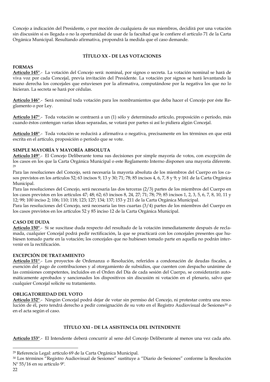Concejo a indicación del Presidente, o por moción de cualquiera de sus miembros, decidirá por una votación sin discusión si es llegada o no la oportunidad de usar de la facultad que le confiere el artículo 71 de la Carta Orgánica Municipal. Resultando afirmativa, propondrá la medida que el caso demande.

#### **TÍTULO XX - DE LAS VOTACIONES**

#### <span id="page-21-1"></span><span id="page-21-0"></span>**FORMAS**

**Artículo 145°**.- La votación del Concejo será: nominal, por signos o secreta. La votación nominal se hará de viva voz por cada Concejal, previa invitación del Presidente. La votación por signos se hará levantando la mano derecha los concejales que estuviesen por la afirmativa, computándose por la negativa los que no lo hicieran. La secreta se hará por cédulas.

**Artículo 146°**.- Será nominal toda votación para los nombramientos que deba hacer el Concejo por éste Reglamento o por Ley.

**Artículo 147°**.- Toda votación se contraerá a un (1) sólo y determinado artículo, proposición o período, más cuando éstos contengan varias ideas separadas, se votará por partes si así lo pidiera algún Concejal.

**Artículo 148°**.- Toda votación se reducirá a afirmativa o negativa, precisamente en los términos en que está escrita en el artículo, proposición o período que se vote.

#### <span id="page-21-2"></span>**SIMPLE MAYORÍA Y MAYORÍA ABSOLUTA**

**Artículo 149°**.- El Concejo Deliberante toma sus decisiones por simple mayoría de votos, con excepción de los casos en los que la Carta Orgánica Municipal o este Reglamento Interno disponen una mayoría diferente. 29

Para las resoluciones del Concejo, será necesaria la mayoría absoluta de los miembros del Cuerpo en los casos previstos en los artículos 52; 63 incisos 9, 13 y 30; 71; 78; 85 incisos 4, 6, 7, 8 y 9; y 161 de la Carta Orgánica Municipal.

Para las resoluciones del Concejo, será necesaria las dos terceras (2/3) partes de los miembros del Cuerpo en los casos previstos en los artículos 47; 48; 62; 63 incisos 8, 24, 27; 71; 78; 79; 85 incisos 1, 2, 3, 5, 6, 7, 8, 10, 11 y 12; 99; 100 inciso 2; 106; 110; 118; 123; 127; 134; 137; 153 y 211 de la Carta Orgánica Municipal.

Para las resoluciones del Concejo, será necesaria las tres cuartas (3/4) partes de los miembros del Cuerpo en los casos previstos en los artículos 52 y 85 inciso 12 de la Carta Orgánica Municipal.

#### <span id="page-21-3"></span>**CASO DE DUDA**

**Artículo 150°**.- Si se suscitase duda respecto del resultado de la votación inmediatamente después de reclamada, cualquier Concejal podrá pedir rectificación, la que se practicará con los concejales presentes que hubiesen tomado parte en la votación; los concejales que no hubiesen tomado parte en aquella no podrán intervenir en la rectificación.

#### <span id="page-21-4"></span>**EXCEPCIÓN DE TRATAMIENTO**

**Artículo 151°**.- Los proyectos de Ordenanza o Resolución, referidos a condonación de deudas fiscales, a exención del pago de contribuciones y al otorgamiento de subsidios, que cuenten con despacho unánime de las comisiones competentes, incluidos en el Orden del Día de cada sesión del Cuerpo, se considerarán automáticamente aprobados y sancionados los dispositivos sin discusión ni votación en el plenario, salvo que cualquier Concejal solicite su tratamiento.

#### <span id="page-21-5"></span>**OBLIGATORIEDAD DEL VOTO**

**Artículo 152°**.- Ningún Concejal podrá dejar de votar sin permiso del Concejo, ni protestar contra una resolución de él, pero tendrá derecho a pedir consignación de su voto en el Registro Audiovisual de Sesiones<sup>30</sup> o en el acta según el caso.

#### **TÍTULO XXI - DE LA ASISTENCIA DEL INTENDENTE**

<span id="page-21-6"></span>**Artículo 153°**.- El Intendente deberá concurrir al seno del Concejo Deliberante al menos una vez cada año.

-

<sup>29</sup> Referencia Legal: artículo 69 de la Carta Orgánica Municipal.

<sup>30</sup> Los términos "Registro Audiovisual de Sesiones" sustituye a "Diario de Sesiones" conforme la Resolución Nº 55/16 en su artículo 9º.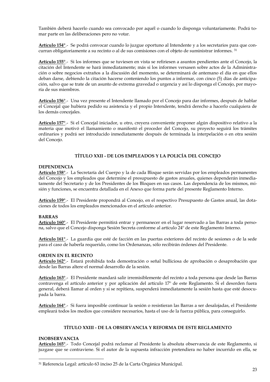También deberá hacerlo cuando sea convocado por aquél o cuando lo disponga voluntariamente. Podrá tomar parte en las deliberaciones pero no votar.

**Artículo 154°**.- Se podrá convocar cuando lo juzgue oportuno al Intendente y a los secretarios para que concurran obligatoriamente a su recinto o al de sus comisiones con el objeto de suministrar informes. <sup>31</sup>

**Artículo 155°**.- Si los informes que se tuviesen en vista se refiriesen a asuntos pendientes ante el Concejo, la citación del Intendente se hará inmediatamente; más si los informes versasen sobre actos de la Administración o sobre negocios extraños a la discusión del momento, se determinará de antemano el día en que ellos deban darse, debiendo la citación hacerse conteniendo los puntos a informar, con cinco (5) días de anticipación, salvo que se trate de un asunto de extrema gravedad o urgencia y así lo disponga el Concejo, por mayoría de sus miembros.

**Artículo 156°**.- Una vez presente el Intendente llamado por el Concejo para dar informes, después de hablar el Concejal que hubiera pedido su asistencia y el propio Intendente, tendrá derecho a hacerlo cualquiera de los demás concejales.

**Artículo 157°**.- Si el Concejal iniciador, u otro, creyera conveniente proponer algún dispositivo relativo a la materia que motivó el llamamiento o manifestó el proceder del Concejo, su proyecto seguirá los trámites ordinarios y podrá ser introducido inmediatamente después de terminada la interpelación o en otra sesión del Concejo.

#### **TÍTULO XXII - DE LOS EMPLEADOS Y LA POLICÍA DEL CONCEJO**

#### <span id="page-22-1"></span><span id="page-22-0"></span>**DEPENDENCIA**

**Artículo 158°**.- La Secretaría del Cuerpo y la de cada Bloque serán servidas por los empleados permanentes del Concejo y los empleados que determine el presupuesto de gastos anuales, quienes dependerán inmediatamente del Secretario y de los Presidentes de los Bloques en sus casos. Las dependencia de los mismos, misión y funciones, se encuentra detallada en el Anexo que forma parte del presente Reglamento Interno.

**Artículo 159°**.- El Presidente propondrá al Concejo, en el respectivo Presupuesto de Gastos anual, las dotaciones de todos los empleados mencionados en el artículo anterior.

#### <span id="page-22-2"></span>**BARRAS**

**Artículo 160°**.- El Presidente permitirá entrar y permanecer en el lugar reservado a las Barras a toda persona, salvo que el Concejo disponga Sesión Secreta conforme al artículo 24º de este Reglamento Interno.

**Artículo 161°**.- La guardia que esté de facción en las puertas exteriores del recinto de sesiones o de la sede para el caso de haberla requerido, como los Ordenanzas, sólo recibirán órdenes del Presidente.

#### <span id="page-22-3"></span>**ORDEN EN EL RECINTO**

**Artículo 162°**.- Estará prohibida toda demostración o señal bulliciosa de aprobación o desaprobación que desde las Barras altere el normal desarrollo de la sesión.

**Artículo 163°**.- El Presidente mandará salir irremisiblemente del recinto a toda persona que desde las Barras contravenga el artículo anterior y por aplicación del artículo 17º de este Reglamento. Si el desorden fuera general, deberá llamar al orden y si se repitiera, suspenderá inmediatamente la sesión hasta que esté desocupada la barra.

**Artículo 164°**.- Si fuera imposible continuar la sesión o resistieran las Barras a ser desalojadas, el Presidente empleará todos los medios que considere necesarios, hasta el uso de la fuerza pública, para conseguirlo.

#### **TÍTULO XXIII - DE LA OBSERVANCIA Y REFORMA DE ESTE REGLAMENTO**

#### <span id="page-22-5"></span><span id="page-22-4"></span>**INOBSERVANCIA**

-

**Artículo 165°**.- Todo Concejal podrá reclamar al Presidente la absoluta observancia de este Reglamento, si juzgase que se contraviene. Si el autor de la supuesta infracción pretendiera no haber incurrido en ella, se

<sup>31</sup> Referencia Legal: artículo 63 inciso 25 de la Carta Orgánica Municipal.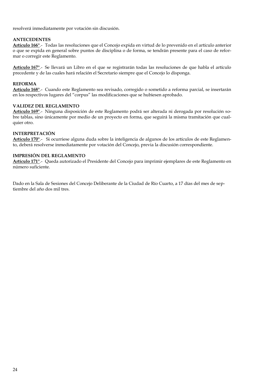resolverá inmediatamente por votación sin discusión.

#### <span id="page-23-0"></span>**ANTECEDENTES**

**Artículo 166°**.- Todas las resoluciones que el Concejo expida en virtud de lo prevenido en el artículo anterior o que se expida en general sobre puntos de disciplina o de forma, se tendrán presente para el caso de reformar o corregir este Reglamento.

**Artículo 167°**.- Se llevará un Libro en el que se registrarán todas las resoluciones de que habla el artículo precedente y de las cuales hará relación el Secretario siempre que el Concejo lo disponga.

#### <span id="page-23-1"></span>**REFORMA**

**Artículo 168°**.- Cuando este Reglamento sea revisado, corregido o sometido a reforma parcial, se insertarán en los respectivos lugares del "corpus" las modificaciones que se hubiesen aprobado.

#### <span id="page-23-2"></span>**VALIDEZ DEL REGLAMENTO**

**Artículo 169°**.- Ninguna disposición de este Reglamento podrá ser alterada ni derogada por resolución sobre tablas, sino únicamente por medio de un proyecto en forma, que seguirá la misma tramitación que cualquier otro.

#### <span id="page-23-3"></span>**INTERPRETACIÓN**

**Artículo 170°**.- Si ocurriese alguna duda sobre la inteligencia de algunos de los artículos de este Reglamento, deberá resolverse inmediatamente por votación del Concejo, previa la discusión correspondiente.

#### <span id="page-23-4"></span>**IMPRESIÓN DEL REGLAMENTO**

**Artículo 171°**.- Queda autorizado el Presidente del Concejo para imprimir ejemplares de este Reglamento en número suficiente.

Dado en la Sala de Sesiones del Concejo Deliberante de la Ciudad de Río Cuarto, a 17 días del mes de septiembre del año dos mil tres.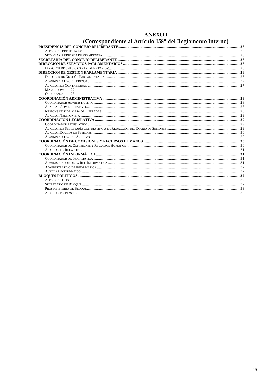# ANEXO I<br>(Correspondiente al Artículo 158º del Reglamento Interno)

| <b>MAYORDOMO</b><br>27 |  |
|------------------------|--|
| ORDENANZA 28           |  |
|                        |  |
|                        |  |
|                        |  |
|                        |  |
|                        |  |
|                        |  |
|                        |  |
|                        |  |
|                        |  |
|                        |  |
|                        |  |
|                        |  |
|                        |  |
|                        |  |
|                        |  |
|                        |  |
|                        |  |
|                        |  |
|                        |  |
|                        |  |
|                        |  |
|                        |  |
|                        |  |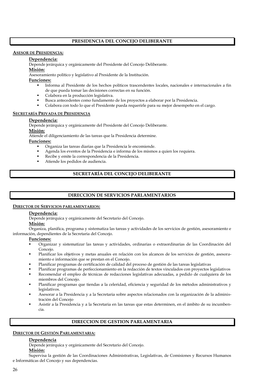#### **PRESIDENCIA DEL CONCEJO DELIBERANTE**

#### **ASESOR DE PRESIDENCIA:**

#### **Dependencia:**

Depende jerárquica y orgánicamente del Presidente del Concejo Deliberante.

#### **Misión:**

Asesoramiento político y legislativo al Presidente de la Institución.

#### **Funciones:**

- Informa al Presidente de los hechos políticos trascendentes locales, nacionales e internacionales a fin de que pueda tomar las decisiones correctas en su función.
- Colabora en la producción legislativa.
- Busca antecedentes como fundamento de los proyectos a elaborar por la Presidencia.
- Colabora con todo lo que el Presidente pueda requerirle para su mejor desempeño en el cargo.

#### **SECRETARÍA PRIVADA DE PRESIDENCIA**

#### **Dependencia:**

Depende jerárquica y orgánicamente del Presidente del Concejo Deliberante.

#### **Misión:**

Atiende el diligenciamiento de las tareas que la Presidencia determine.

**Funciones:**

- Organiza las tareas diarias que la Presidencia le encomiende.
- Agenda los eventos de la Presidencia e informa de los mismos a quien los requiera.
- Recibe y emite la correspondencia de la Presidencia.
- Atiende los pedidos de audiencia.

#### **SECRETARÍA DEL CONCEJO DELIBERANTE**

#### **DIRECCION DE SERVICIOS PARLAMENTARIOS**

#### **DIRECTOR DE SERVICIOS PARLAMENTARIOS:**

#### **Dependencia:**

Depende jerárquica y orgánicamente del Secretario del Concejo.

#### **Misión:**

Organiza, planifica, programa y sistematiza las tareas y actividades de los servicios de gestión, asesoramiento e información, dependientes de la Secretaria del Concejo.

#### **Funciones:**

- Organizar y sistematizar las tareas y actividades, ordinarias o extraordinarias de las Coordinación del Concejo.
- Planificar los objetivos y metas anuales en relación con los alcances de los servicios de gestión, asesoramiento e información que se prestan en el Concejo.
- Planificar programas de certificación de calidad del proceso de gestión de las tareas legislativas
- Planificar programas de perfeccionamiento en la redacción de textos vinculados con proyectos legislativos
- Recomendar el empleo de técnicas de redacciones legislativas adecuadas, a pedido de cualquiera de los miembros del Concejo.
- Planificar programas que tiendas a la celeridad, eficiencia y seguridad de los métodos administrativos y legislativos.
- Asesorar a la Presidencia y a la Secretaria sobre aspectos relacionados con la organización de la administración del Concejo
- Asistir a la Presidencia y a la Secretaria en las tareas que estas determinen, en el ámbito de su incumbencia.

#### **DIRECCION DE GESTION PARLAMENTARIA**

#### **DIRECTOR DE GESTIÓN PARLAMENTARIA:**

#### **Dependencia**

Depende jerárquica y orgánicamente del Secretario del Concejo.

#### **Misión:**

Supervisa la gestión de las Coordinaciones Administrativas, Legislativas, de Comisiones y Recursos Humanos e Informáticas del Concejo y sus dependencias.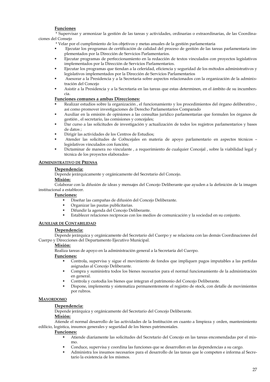#### **Funciones**

\* Supervisar y armonizar la gestión de las tareas y actividades, ordinarias o extraordinarias, de las Coordinaciones del Consejo

- \* Velar por el cumplimiento de los objetivos y metas anuales de la gestión parlamentaria
- Ejecutar los programas de certificación de calidad del proceso de gestión de las tareas parlamentaria implementados por la Dirección de Servicios Parlamentarios.
- Ejecutar programas de perfeccionamiento en la redacción de textos vinculados con proyectos legislativos implementados por la Dirección de Servicios Parlamentarios.
- Ejecutar los programas que tiendan a la celeridad, eficiencia y seguridad de los métodos administrativos y legislativos implementados por la Dirección de Servicios Parlamentarios
- Asesorar a la Presidencia y a la Secretaria sobre aspectos relacionados con la organización de la administración del Concejo
- Asistir a la Presidencia y a la Secretaria en las tareas que estas determinen, en el ámbito de su incumbencia.

#### **Funciones comunes a ambas Direcciones:**

- Realizar estudios sobre la organización , el funcionamiento y los procedimientos del órgano deliberativo , así como promover investigaciones de Derecho Parlamentarios Comparado
- Auxiliar en la emisión de opiniones a las consultas jurídico parlamentarias que formulen los órganos de gestión , el secretario, las comisiones y concejales;
- Dar curso a las solicitudes de investigación y actualización de todos los registros parlamentarios y bases de datos ;
- Dirigir las actividades de los Centros de Estudios;
- Atender las solicitudes de Co0ncejales en materia de apoyo parlamentario en aspectos técnicos legislativos vinculados con función;
- Dictaminar de manera no vinculante , a requerimiento de cualquier Concejal , sobre la viabilidad legal y técnica de los proyectos elaborados-

#### **ADMINISTRATIVO DE PRENSA**

#### **Dependencia:**

Depende jerárquicamente y orgánicamente del Secretario del Concejo.

#### **Misión:**

Colaborar con la difusión de ideas y mensajes del Concejo Deliberante que ayuden a la definición de la imagen institucional a establecer.

#### **Funciones:**

- Diseñar las campañas de difusión del Concejo Deliberante.
- Organizar las pautas publicitarias.
- Difundir la agenda del Concejo Deliberante.
- Establecer relaciones recíprocas con los medios de comunicación y la sociedad en su conjunto.

#### **AUXILIAR DE CONTABILIDAD**

#### **Dependencia:**

Depende jerárquica y orgánicamente del Secretario del Cuerpo y se relaciona con las demás Coordinaciones del Cuerpo y Direcciones del Departamento Ejecutivo Municipal.

#### **Misión:**

Realiza tareas de apoyo en la administración general a la Secretaría del Cuerpo.

#### **Funciones:**

- Controla, supervisa y sigue el movimiento de fondos que impliquen pagos imputables a las partidas asignadas al Concejo Deliberante.
- Compra y suministra todos los bienes necesarios para el normal funcionamiento de la administración en general.
- Controla y custodia los bienes que integran el patrimonio del Concejo Deliberante.
- Dispone, implementa y sistematiza permanentemente el registro de stock, con detalle de movimientos por rubros.

#### **MAYORDOMO**

#### **Dependencia:**

Depende jerárquica y orgánicamente del Secretario del Concejo Deliberante.

#### **Misión:**

Atiende el normal desarrollo de las actividades de la Institución en cuanto a limpieza y orden, mantenimiento edilicio, logística, insumos generales y seguridad de los bienes patrimoniales.

- Atiende diariamente las solicitudes del Secretario del Concejo en las tareas encomendadas por el mismo.
- Conduce, supervisa y coordina las funciones que se desarrollen en las dependencias a su cargo.
- Administra los insumos necesarios para el desarrollo de las tareas que le competen e informa al Secretario la existencia de los mismos.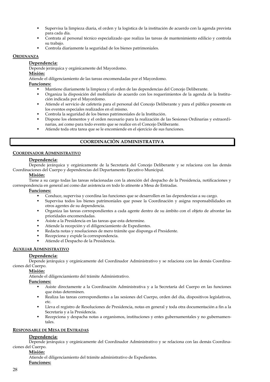- Supervisa la limpieza diaria, el orden y la logística de la institución de acuerdo con la agenda prevista para cada día.
- Contrata al personal técnico especializado que realiza las tareas de mantenimiento edilicio y controla su trabajo.
- Controla diariamente la seguridad de los bienes patrimoniales.

#### **ORDENANZA**

#### **Dependencia:**

Depende jerárquica y orgánicamente del Mayordomo.

**Misión:**

Atiende el diligenciamiento de las tareas encomendadas por el Mayordomo.

**Funciones:**

- Mantiene diariamente la limpieza y el orden de las dependencias del Concejo Deliberante.
- Organiza la disposición del mobiliario de acuerdo con los requerimientos de la agenda de la Institución indicada por el Mayordomo.
- Atiende el servicio de cafetería para el personal del Concejo Deliberante y para el público presente en los eventos especiales realizados en el mismo.
- Controla la seguridad de los bienes patrimoniales de la Institución.
- Dispone los elementos y el orden necesario para la realización de las Sesiones Ordinarias y extraordinarias, así como para todo evento que se realice en el Concejo Deliberante.
- Atiende toda otra tarea que se le encomiende en el ejercicio de sus funciones.

#### **COORDINACIÓN ADMINISTRATIVA**

#### **COORDINADOR ADMINISTRATIVO**

#### **Dependencia:**

Depende jerárquica y orgánicamente de la Secretaría del Concejo Deliberante y se relaciona con las demás Coordinaciones del Cuerpo y dependencias del Departamento Ejecutivo Municipal.

#### **Misión:**

Tiene a su cargo todas las tareas relacionadas con la atención del despacho de la Presidencia, notificaciones y correspondencia en general así como dar asistencia en todo lo atinente a Mesa de Entradas.

#### **Funciones:**

- Conduce, supervisa y coordina las funciones que se desarrollen en las dependencias a su cargo.
- Supervisa todos los bienes patrimoniales que posee la Coordinación y asigna responsabilidades en otros agentes de su dependencia.
- Organiza las tareas correspondientes a cada agente dentro de su ámbito con el objeto de afrontar las prioridades encomendadas.
- Asiste a la Presidencia en las tareas que esta determine.
- Atiende la recepción y el diligenciamiento de Expedientes.
- Redacta notas y resoluciones de mero trámite que disponga el Presidente.
- Recepciona y expide la correspondencia.
- Atiende el Despacho de la Presidencia.

#### **AUXILIAR ADMINISTRATIVO**

#### **Dependencia:**

Depende jerárquica y orgánicamente del Coordinador Administrativo y se relaciona con las demás Coordinaciones del Cuerpo.

#### **Misión:**

Atiende el diligenciamiento del trámite Administrativo.

#### **Funciones:**

- Asiste directamente a la Coordinación Administrativa y a la Secretaría del Cuerpo en las funciones que éstas determinen.
- Realiza las tareas correspondientes a las sesiones del Cuerpo, orden del día, dispositivos legislativos, etc.
- Lleva el registro de Resoluciones de Presidencia, notas en general y toda otra documentación a fin a la Secretaría y a la Presidencia.
- Recepciona y despacha notas a organismos, instituciones y entes gubernamentales y no gubernamentales.

#### **RESPONSABLE DE MESA DE ENTRADAS**

#### **Dependencia:**

Depende jerárquica y orgánicamente del Coordinador Administrativo y se relaciona con las demás Coordinaciones del Cuerpo.

#### **Misión:**

Atiende el diligenciamiento del trámite administrativo de Expedientes. **Funciones:**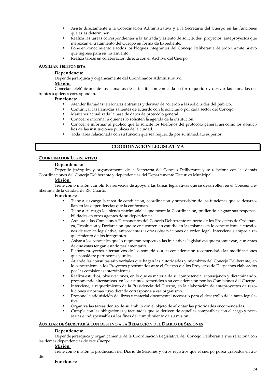- Asiste directamente a la Coordinación Administrativa y a la Secretaría del Cuerpo en las funciones que éstas determinen.
- Realiza las tareas correspondientes a la Entrada y asiento de solicitudes, proyectos, anteproyectos que merezcan el tratamiento del Cuerpo en forma de Expediente.
- Pone en conocimiento a todos los bloques integrantes del Concejo Deliberante de todo trámite nuevo que ingrese para su tratamiento.
- Realiza tareas en colaboración directa con el Archivo del Cuerpo.

#### **AUXILIAR TELEFONISTA**

#### **Dependencia:**

Depende jerárquica y orgánicamente del Coordinador Administrativo.

#### **Misión:**

Conectar telefónicamente los llamados de la institución con cada sector requerido y derivar las llamadas entrantes a quienes correspondan.

#### **Funciones:**

- Atender llamadas telefónicas entrantes y derivar de acuerdo a las solicitudes del público.
- Comunicar las llamadas salientes de acuerdo con lo solicitado por cada sector del Concejo.
- Mantener actualizada la base de datos de protocolo general.
- Conocer e informar a quienes lo soliciten la agenda de la institución.
- Conocer e informar al público que lo solicite los teléfonos del protocolo general así como los domicilios de las instituciones públicas de la ciudad.
- Toda tarea relacionada con su función que sea requerida por su inmediato superior.

#### **COORDINACIÓN LEGISLATIVA**

#### **COORDINADOR LEGISLATIVO**

#### **Dependencia:**

Depende jerárquica y orgánicamente de la Secretaría del Concejo Deliberante y se relaciona con las demás Coordinaciones del Concejo Deliberante y dependencias del Departamento Ejecutivo Municipal.

#### **Misión:**

Tiene como misión cumplir los servicios de apoyo a las tareas legislativas que se desarrollen en el Concejo Deliberante de la Ciudad de Río Cuarto.

#### **Funciones:**

- Tiene a su cargo la tarea de conducción, coordinación y supervisión de las funciones que se desarrollan en las dependencias que la conforman.
- Tiene a su cargo los bienes patrimoniales que posee la Coordinación, pudiendo asignar sus responsabilidades en otros agentes de su dependencia.
- Asesora a las Comisiones Permanentes del Concejo Deliberante respecto de los Proyectos de Ordenanza, Resolución y Declaración que se encuentren en estudio en las mismas en lo concerniente a cuestiones de técnica legislativa, antecedentes u otras observaciones de orden legal. Interviene siempre a requerimiento de los integrantes.
- Asiste a los concejales que lo requieran respecto a las iniciativas legislativas que promuevan, aún antes de que estas tengan estado parlamentario.
- Elabora proyectos alternativos de los sometidos a su consideración recomendado las modificaciones que considere pertinentes y útiles.
- Atiende las consultas aún verbales que hagan las autoridades y miembros del Concejo Deliberante, en lo concerniente a los Proyectos presentados ante el Cuerpo o a los Proyectos de Despachos elaborados por las comisiones intervinientes.
- Realiza estudios, observaciones, en lo que es materia de su competencia, aconsejando y dictaminando, proponiendo alternativas, en los asuntos sometidos a su consideración por las Comisiones del Cuerpo.
- Interviene, a requerimiento de la Presidencia del Cuerpo, en la elaboración de anteproyectos de resoluciones o normas cuyo dictado corresponda a ese organismo.
- Propone la adquisición de libros y material documental necesario para el desarrollo de la tarea legislativa.
- Organiza las tareas dentro de su ámbito con el objeto de afrontar las prioridades encomendadas.
- Cumple con las obligaciones y facultades que se deriven de aquellas compatibles con el cargo y necesarias e indispensables a los fines del cumplimiento de su misión.

#### **AUXILIAR DE SECRETARÍA CON DESTINO A LA REDACCIÓN DEL DIARIO DE SESIONES**

#### **Dependencia:**

Depende jerárquica y orgánicamente de la Coordinación Legislativa del Concejo Deliberante y se relaciona con las demás dependencias de éste Cuerpo.

#### **Misión:**

dio.

Tiene como misión la producción del Diario de Sesiones y otros registros que el cuerpo posea grabados en au-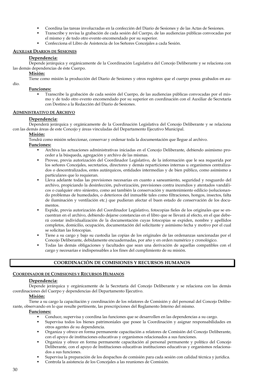- Coordina las tareas involucradas en la confección del Diario de Sesiones y de las Actas de Sesiones.
- Transcribe y revisa la grabación de cada sesión del Cuerpo, de las audiencias públicas convocadas por el mismo y de todo otro evento encomendado por su superior.
- Confecciona el Libro de Asistencia de los Señores Concejales a cada Sesión.

#### **AUXILIAR DIARIOS DE SESIONES**

#### **Dependencia:**

Depende jerárquica y orgánicamente de la Coordinación Legislativa del Concejo Deliberante y se relaciona con las demás dependencias de éste Cuerpo.

#### **Misión:**

Tiene como misión la producción del Diario de Sesiones y otros registros que el cuerpo posea grabados en au-

dio.

#### **Funciones:**

 Transcribe la grabación de cada sesión del Cuerpo, de las audiencias públicas convocadas por el mismo y de todo otro evento encomendado por su superior en coordinación con el Auxiliar de Secretaría con Destino a la Redacción del Diario de Sesiones.

#### **ADMINISTRATIVO DE ARCHIVO**

#### **Dependencia:**

Dependerá jerárquica y orgánicamente de la Coordinación Legislativa del Concejo Deliberante y se relaciona con las demás áreas de este Concejo y áreas vinculadas del Departamento Ejecutivo Municipal.

#### **Misión:**

Tendrá como misión seleccionar, conservar y ordenar toda la documentación que llegue al archivo.

#### **Funciones:**

- Archiva las actuaciones administrativas iniciadas en el Concejo Deliberante, debiendo asimismo proceder a la búsqueda, agregación y archivo de las mismas.
- Provee, previa autorización del Coordinador Legislativo, de la información que le sea requerida por los señores Concejales, secretarios, directores y demás reparticiones internas u organismos centralizados o descentralizados, entes autárquicos, entidades intermedias y de bien público, como asimismo a particulares que lo requieran.
- Lleva adelante todas las previsiones necesarias en cuanto a saneamiento, seguridad y resguardo del archivo, propiciando la desinfección, pulverización, previsiones contra incendios y atentados vandálicos o cualquier otro siniestro, como así también la conservación y mantenimiento edilicio (solucionando problemas de humedades, o deterioros del inmueble tales como filtraciones, hongos, insectos, falta de iluminación y ventilación etc.) que pudieran afectar el buen estado de conservación de los documentos.
- Expide, previa autorización del Coordinador Legislativo, fotocopias fieles de los originales que se encuentran en el archivo, debiendo dejarse constancias en el libro que se llevará al efecto, en el que deberá constar individualización de la documentación cuyas fotocopias se expiden, nombre y apellidos completos, domicilio, ocupación, documentación del solicitante y asimismo fecha y motivo por el cual se solicitan las fotocopias.
- Tiene a su cargo y bajo su custodia las copias de los originales de las ordenanzas sancionadas por el Concejo Deliberante, debidamente encuadernadas, por año y en orden numérico y cronológico.
- Todas las demás obligaciones y facultades que sean una derivación de aquellas compatibles con el cargo y necesarias e indispensables a los fines del cumplimiento de su misión.

#### **COORDINACIÓN DE COMISIONES Y RECURSOS HUMANOS**

#### **COORDINADOR DE COMISIONES Y RECURSOS HUMANOS**

#### **Dependencia:**

Depende jerárquica y orgánicamente de la Secretaría del Concejo Deliberante y se relaciona con las demás coordinaciones del Cuerpo y dependencias del Departamento Ejecutivo.

#### **Misión:**

Tiene a su cargo la capacitación y coordinación de los relatores de Comisión y del personal del Concejo Deliberante, observando en lo que resulte pertinente, las prescripciones del Reglamento Interno del mismo.

- Conduce, supervisa y coordina las funciones que se desarrollen en las dependencias a su cargo.
- Supervisa todos los bienes patrimoniales que posee la Coordinación y asignar responsabilidades en otros agentes de su dependencia.
- Organiza y ofrece en forma permanente capacitación a relatores de Comisión del Concejo Deliberante, con el apoyo de instituciones educativas y organismos relacionados a sus funciones.
- Organiza y ofrece en forma permanente capacitación al personal permanente y político del Concejo Deliberante, con el apoyo de Instituciones educativas instituciones educativas y organismos relacionados a sus funciones.
- Supervisa la preparación de los despachos de comisión para cada sesión con calidad técnica y jurídica.
- Controla la asistencia de los Concejales a las reuniones de Comisión.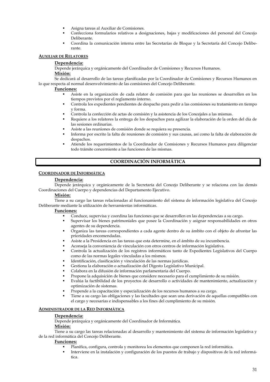- Asigna tareas al Auxiliar de Comisiones.
- Confecciona formularios relativos a designaciones, bajas y modificaciones del personal del Concejo Deliberante.
- Coordina la comunicación interna entre las Secretarías de Bloque y la Secretaría del Concejo Deliberante.

#### **AUXILIAR DE RELATORES**

#### **Dependencia:**

Depende jerárquica y orgánicamente del Coordinador de Comisiones y Recursos Humanos.

#### **Misión:**

Se dedicará al desarrollo de las tareas planificadas por la Coordinador de Comisiones y Recursos Humanos en lo que respecta al normal desenvolvimiento de las comisiones del Concejo Deliberante.

#### **Funciones:**

- Asiste en la organización de cada relator de comisión para que las reuniones se desarrollen en los tiempos previstos por el reglamento interno.
- Controla los expedientes pendientes de despacho para pedir a las comisiones su tratamiento en tiempo y forma.
- Controla la confección de actas de comisión y la asistencia de los Concejales a las mismas.
- Requiere a los relatores la entrega de los despachos para agilizar la elaboración de la orden del día de las sesiones ordinarias.
- Asiste a las reuniones de comisión donde se requiera su presencia.
- Informa por escrito la falta de reuniones de comisión y sus causas, así como la falta de elaboración de despachos.
- Atiende los requerimientos de la Coordinador de Comisiones y Recursos Humanos para diligenciar todo trámite concerniente a las funciones de las mismas.

#### **COORDINACIÓN INFORMÁTICA**

#### **COORDINADOR DE INFORMÁTICA**

#### **Dependencia:**

Depende jerárquica y orgánicamente de la Secretaría del Concejo Deliberante y se relaciona con las demás Coordinaciones del Cuerpo y dependencias del Departamento Ejecutivo.

#### **Misión:**

Tiene a su cargo las tareas relacionadas al funcionamiento del sistema de información legislativa del Concejo Deliberante mediante la utilización de herramientas informáticas.

#### **Funciones:**

- Conduce, supervisa y coordina las funciones que se desarrollen en las dependencias a su cargo.
- Supervisar los bienes patrimoniales que posee la Coordinación y asignar responsabilidades en otros agentes de su dependencia.
- Organiza las tareas correspondientes a cada agente dentro de su ámbito con el objeto de afrontar las prioridades encomendadas.
- Asiste a la Presidencia en las tareas que esta determine, en el ámbito de su incumbencia.
- Aconseja la conveniencia de vinculación con otros centros de información legislativa.
- Controla la actualización de los registros informáticos tanto de Expedientes Legislativos del Cuerpo como de las normas legales vinculadas a los mismos.
- Identificación, clasificación y vinculación de las normas jurídicas.
- Gestiona la elaboración o actualización del Digesto Legislativo Municipal.
- Colabora en la difusión de información parlamentaria del Cuerpo.
- Propone la adquisición de bienes que considere necesario para el cumplimiento de su misión.
- Evalúa la factibilidad de los proyectos de desarrollo o actividades de mantenimiento, actualización y optimización de sistemas.
- Propende a la capacitación y especialización de los recursos humanos a su cargo.
- Tiene a su cargo las obligaciones y las facultades que sean una derivación de aquellas compatibles con el cargo y necesarias e indispensables a los fines del cumplimiento de su misión.

#### **ADMINISTRADOR DE LA RED INFORMÁTICA**

#### **Dependencia:**

Depende jerárquica y orgánicamente del Coordinador de Informática.

#### **Misión:**

Tiene a su cargo las tareas relacionadas al desarrollo y mantenimiento del sistema de información legislativa y de la red informática del Concejo Deliberante.

- Planifica, configura, controla y monitorea los elementos que componen la red informática.
- Interviene en la instalación y configuración de los puestos de trabajo y dispositivos de la red informática.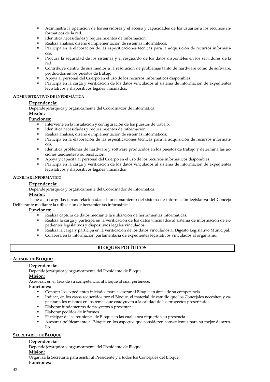- Administra la operación de los servidores y el acceso y capacidades de los usuarios a los recursos informáticos de la red.
- Identifica necesidades y requerimientos de información.
- Realiza análisis, diseño e implementación de sistemas informáticos.
- Participa en la elaboración de las especificaciones técnicas para la adquisición de recursos informáticos.
- Procura la seguridad de los sistemas y el resguardo de los datos disponibles en los servidores de la red.
- Contribuye dentro de sus medios a la resolución de problemas tanto de hardware como de software, producidos en los puestos de trabajo.
- Apoya al personal del Cuerpo en el uso de los recursos informáticos disponibles.
- Participa en la carga y verificación de los datos vinculados al sistema de información de expedientes legislativos y dispositivos legales vinculados.

#### **ADMINISTRATIVO DE INFORMÁTICA**

#### **Dependencia:**

Depende jerárquica y orgánicamente del Coordinador de Informática.

#### **Misión:**

**Funciones:**

- Interviene en la instalación y configuración de los puestos de trabajo.
- Identifica necesidades y requerimientos de información.
- Realiza análisis, diseño e implementación de sistemas informáticos.
- Participa en la elaboración de las especificaciones técnicas para la adquisición de recursos informáticos.
- Identifica problemas de hardware y software producidos en los puestos de trabajo y determina las acciones tendientes a su resolución.
- Apoya y capacita al personal del Cuerpo en el uso de los recursos informáticos disponibles.
- Participa en la carga y verificación de los datos vinculados al sistema de información de expedientes legislativos y dispositivos legales vinculados

#### **AUXILIAR INFORMÁTICO**

#### **Dependencia:**

Depende jerárquica y orgánicamente del Coordinador de Informática.

#### **Misión:**

Tiene a su cargo las tareas relacionadas al funcionamiento del sistema de información legislativa del Concejo Deliberante mediante la utilización de herramientas informáticas.

#### **Funciones:**

- Realiza captura de datos mediante la utilización de herramientas informáticas.
- Realiza la carga y participa en la verificación de los datos vinculados al sistema de información de expedientes legislativos y dispositivos legales vinculados.
- Realiza la carga y participa en la verificación de los datos vinculados al Digesto Legislativo Municipal.
- Colabora en la información parlamentaria de expedientes legislativos vinculados al organismo.

#### **BLOQUES POLÍTICOS**

#### **ASESOR DE BLOQUE:**

#### **Dependencia:**

Depende jerárquica y orgánicamente del Presidente de Bloque.

#### **Misión:**

Asesorar, en el área de su competencia, al Bloque al cual pertenece.

#### **Funciones:**

- Conocer los expedientes iniciados para asesorar al Bloque en áreas de su competencia.
- Indicar, en los casos requeridos por el Bloque, el material de estudio que los Concejales necesiten y capacitar a los mismos en los temas que coadyuven a la calidad de los proyectos presentados.
- Elaborar fundamentos de proyectos a presentar.
- Elaborar pedidos de informes.
- Participar de las reuniones de Bloque en las cuales sea requerida su presencia.
- Asesorar políticamente al Bloque en los aspectos que consideren convenientes para su mejor desarrollo.

#### **SECRETARIO DE BLOQUE**

#### **Dependencia:**

Depende jerárquica y orgánicamente del Presidente de Bloque.

#### **Misión:**

Organiza la Secretaría para asistir al Presidente y a todos los Concejales del Bloque.